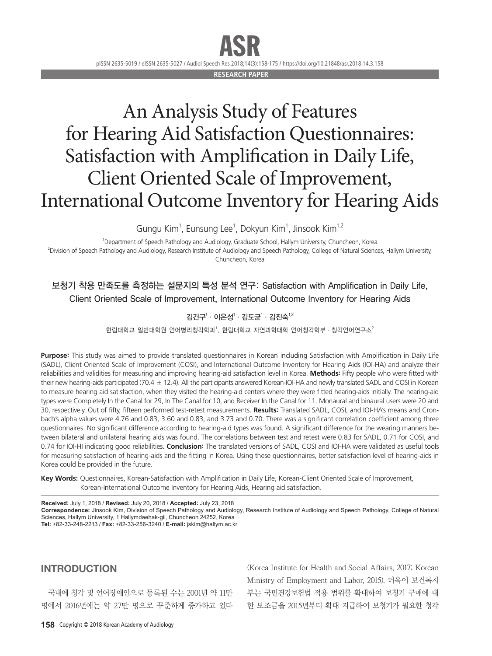# ASR

pISSN 2635-5019 / eISSN 2635-5027 / Audiol Speech Res 2018;14(3):158-175 / https://doi.org/10.21848/asr.2018.14.3.158

**RESEARCH PAPE** 

# An Analysis Study of Features for Hearing Aid Satisfaction Questionnaires: Satisfaction with Amplification in Daily Life, Client Oriented Scale of Improvement, International Outcome Inventory for Hearing Aids

Gungu Kim<sup>1</sup>, Eunsung Lee<sup>1</sup>, Dokyun Kim<sup>1</sup>, Jinsook Kim<sup>1,2</sup>

1 Department of Speech Pathology and Audiology, Graduate School, Hallym University, Chuncheon, Korea 2 Division of Speech Pathology and Audiology, Research Institute of Audiology and Speech Pathology, College of Natural Sciences, Hallym University, Chuncheon, Korea

# 보청기 착용 만족도를 측정하는 설문지의 특성 분석 연구: Satisfaction with Amplification in Daily Life, Client Oriented Scale of Improvement, International Outcome Inventory for Hearing Aids

## 김건구 $^1\cdot$  이은성 $^1\cdot$  김도균 $^1\cdot$  김진숙 $^{1,2}$

한림대학교 일반대학원 언어병리청각학과', 한림대학교 자연과학대학 언어청각학부·청각언어연구소 $^2$ 

**Purpose:** This study was aimed to provide translated questionnaires in Korean including Satisfaction with Amplification in Daily Life (SADL), Client Oriented Scale of Improvement (COSI), and International Outcome Inventory for Hearing Aids (IOI-HA) and analyze their reliabilities and validities for measuring and improving hearing-aid satisfaction level in Korea. **Methods:** Fifty people who were fitted with their new hearing-aids participated (70.4  $\pm$  12.4). All the participants answered Korean-IOI-HA and newly translated SADL and COSI in Korean to measure hearing aid satisfaction, when they visited the hearing-aid centers where they were fitted hearing-aids initially. The hearing-aid types were Completely In the Canal for 29, In The Canal for 10, and Receiver In the Canal for 11. Monaural and binaural users were 20 and 30, respectively. Out of fifty, fifteen performed test-retest measurements. **Results:** Translated SADL, COSI, and IOI-HA's means and Cronbach's alpha values were 4.76 and 0.83, 3.60 and 0.83, and 3.73 and 0.70. There was a significant correlation coefficient among three questionnaires. No significant difference according to hearing-aid types was found. A significant difference for the wearing manners between bilateral and unilateral hearing aids was found. The correlations between test and retest were 0.83 for SADL, 0.71 for COSI, and 0.74 for IOI-HI indicating good reliabilities. **Conclusion:** The translated versions of SADL, COSI and IOI-HA were validated as useful tools for measuring satisfaction of hearing-aids and the fitting in Korea. Using these questionnaires, better satisfaction level of hearing-aids in Korea could be provided in the future.

Key Words: Questionnaires, Korean-Satisfaction with Amplification in Daily Life, Korean-Client Oriented Scale of Improvement, Korean-International Outcome Inventory for Hearing Aids, Hearing aid satisfaction.

**Received:** July 1, 2018 / **Revised:** July 20, 2018 / **Accepted:** July 23, 2018 **Correspondence:** Jinsook Kim, Division of Speech Pathology and Audiology, Research Institute of Audiology and Speech Pathology, College of Natural Sciences, Hallym University, 1 Hallymdaehak-gil, Chuncheon 24252, Korea **Tel:** +82-33-248-2213 / **Fax:** +82-33-256-3240 / **E-mail:** jskim@hallym.ac.kr

### INTRODUCTION

국내에 청각 및 언어장애인으로 등록된 수는 2001년 약 11만 명에서 2016년에는 약 27만 명으로 꾸준하게 증가하고 있다

(Korea Institute for Health and Social Affairs, 2017; Korean Ministry of Employment and Labor, 2015). 더욱이 보건복지 부는 국민건강보험법 적용 범위를 확대하여 보청기 구매에 대 한 보조금을 2015년부터 확대 지급하여 보청기가 필요한 청각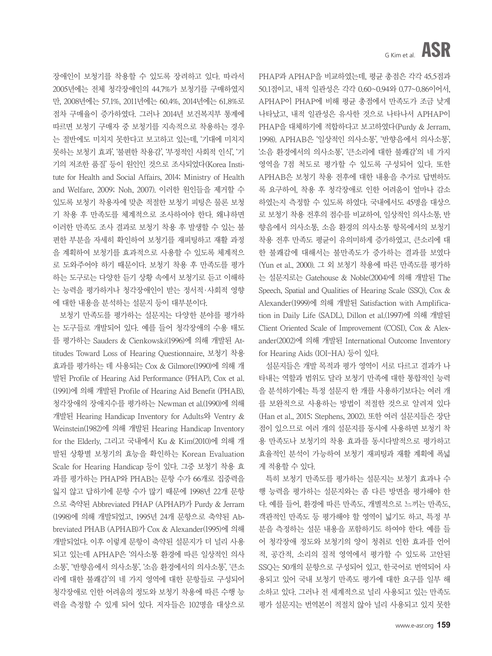장애인이 보청기를 착용할 수 있도록 장려하고 있다. 따라서 2005년에는 전체 청각장애인의 44.7%가 보청기를 구매하였지 만, 2008년에는 57.1%, 2011년에는 60.4%, 2014년에는 61.8%로 점차 구매율이 증가하였다. 그러나 2014년 보건복지부 통계에 따르면 보청기 구매자 중 보청기를 지속적으로 착용하는 경우 는 절반에도 미치지 못한다고 보고하고 있는데, '기대에 미치지 못하는 보청기 효과', '불편한 착용감', '부정적인 사회적 인식', '기 기의 저조한 품질' 등이 원인인 것으로 조사되었다(Korea Institute for Health and Social Affairs, 2014; Ministry of Health and Welfare, 2009; Noh, 2007). 이러한 원인들을 제거할 수 있도록 보청기 착용자에 맞춘 적절한 보청기 피팅은 물론 보청 기 착용 후 만족도를 체계적으로 조사하여야 한다. 왜냐하면 이러한 만족도 조사 결과로 보청기 착용 후 발생할 수 있는 불 편한 부분을 자세히 확인하여 보청기를 재피팅하고 재활 과정 을 계획하여 보청기를 효과적으로 사용할 수 있도록 체계적으 로 도와주어야 하기 때문이다. 보청기 착용 후 만족도를 평가 하는 도구로는 다양한 듣기 상황 속에서 보청기로 듣고 이해하 는 능력을 평가하거나 청각장애인이 받는 정서적·사회적 영향 에 대한 내용을 분석하는 설문지 등이 대부분이다.

보청기 만족도를 평가하는 설문지는 다양한 분야를 평가하 는 도구들로 개발되어 있다. 예를 들어 청각장애의 수용 태도 를 평가하는 Sauders & Cienkowski(1996)에 의해 개발된 Attitudes Toward Loss of Hearing Questionnaire, 보청기 착용 효과를 평가하는 데 사용되는 Cox & Gilmore(1990)에 의해 개 발된 Profile of Hearing Aid Performance (PHAP), Cox et al. (1991)에 의해 개발된 Profile of Hearing Aid Benefit (PHAB), 청각장애의 장애지수를 평가하는 Newman et al.(1990)에 의해 개발된 Hearing Handicap Inventory for Adults와 Ventry & Weinstein(1982)에 의해 개발된 Hearing Handicap Inventory for the Elderly, 그리고 국내에서 Ku & Kim(2010)에 의해 개 발된 상황별 보청기의 효능을 확인하는 Korean Evaluation Scale for Hearing Handicap 등이 있다. 그중 보청기 착용 효 과를 평가하는 PHAP와 PHAB는 문항 수가 66개로 집중력을 잃지 않고 답하기에 문항 수가 많기 때문에 1998년 22개 문항 으로 축약된 Abbreviated PHAP (APHAP)가 Purdy & Jerram (1998)에 의해 개발되었고, 1995년 24개 문항으로 축약된 Abbreviated PHAB (APHAB)가 Cox & Alexander(1995)에 의해 개발되었다. 이후 이렇게 문항이 축약된 설문지가 더 널리 사용 되고 있는데 APHAP은 '의사소통 환경에 따른 일상적인 의사 소통', '반향음에서 의사소통', '소음 환경에서의 의사소통', '큰소 리에 대한 불쾌감'의 네 가지 영역에 대한 문항들로 구성되어 청각장애로 인한 어려움의 정도와 보청기 착용에 따른 수행 능 력을 측정할 수 있게 되어 있다. 저자들은 102명을 대상으로

PHAP과 APHAP을 비교하였는데, 평균 총점은 각각 45.5점과 50.1점이고, 내적 일관성은 각각 0.60~0.94와 0.77~0.86이어서, APHAP이 PHAP에 비해 평균 총점에서 만족도가 조금 낮게 나타났고, 내적 일관성은 유사한 것으로 나타나서 APHAP이 PHAP을 대체하기에 적합하다고 보고하였다(Purdy & Jerram, 1998). APHAB은 '일상적인 의사소통', '반향음에서 의사소통', '소음 환경에서의 의사소통', '큰소리에 대한 불쾌감'의 네 가지 영역을 7점 척도로 평가할 수 있도록 구성되어 있다. 또한 APHAB은 보청기 착용 전후에 대한 내용을 추가로 답변하도 록 요구하여, 착용 후 청각장애로 인한 어려움이 얼마나 감소 하였는지 측정할 수 있도록 하였다. 국내에서도 45명을 대상으 로 보청기 착용 전후의 점수를 비교하여, 일상적인 의사소통, 반 향음에서 의사소통, 소음 환경의 의사소통 항목에서의 보청기 착용 전후 만족도 평균이 유의미하게 증가하였고, 큰소리에 대 한 불쾌감에 대해서는 불만족도가 증가하는 결과를 보였다 (Yun et al., 2000). 그 외 보청기 착용에 따른 만족도를 평가하 는 설문지로는 Gatehouse & Noble(2004)에 의해 개발된 The Speech, Spatial and Qualities of Hearing Scale (SSO), Cox & Alexander(1999)에 의해 개발된 Satisfaction with Amplification in Daily Life (SADL), Dillon et al.(1997)에 의해 개발된 Client Oriented Scale of Improvement (COSI), Cox & Alexander(2002)에 의해 개발된 International Outcome Inventory for Hearing Aids (IOI-HA) 등이 있다.

설문지들은 개발 목적과 평가 영역이 서로 다르고 결과가 나 타내는 역할과 범위도 달라 보청기 만족에 대한 통합적인 능력 을 분석하기에는 특정 설문지 한 개를 사용하기보다는 여러 개 를 보완적으로 사용하는 방법이 적절한 것으로 알려져 있다 (Han et al., 2015; Stephens, 2002). 또한 여러 설문지들은 장단 점이 있으므로 여러 개의 설문지를 동시에 사용하면 보청기 착 용 만족도나 보청기의 착용 효과를 동시다발적으로 평가하고 효율적인 분석이 가능하여 보청기 재피팅과 재활 계획에 폭넓 게 적용할 수 있다.

특히 보청기 만족도를 평가하는 설문지는 보청기 효과나 수 행 능력을 평가하는 설문지와는 좀 다른 방면을 평가해야 한 다. 예를 들어, 환경에 따른 만족도, 개별적으로 느끼는 만족도, 객관적인 만족도 등 평가해야 할 영역이 넓기도 하고, 특정 부 분을 측정하는 설문 내용을 포함하기도 하여야 한다. 예를 들 어 청각장애 정도와 보청기의 양이 청취로 인한 효과를 언어 적, 공간적, 소리의 질적 영역에서 평가할 수 있도록 고안된 SSQ는 50개의 문항으로 구성되어 있고, 한국어로 번역되어 사 용되고 있어 국내 보청기 만족도 평가에 대한 요구를 일부 해 소하고 있다. 그러나 전 세계적으로 널리 사용되고 있는 만족도 평가 설문지는 번역본이 적절치 않아 널리 사용되고 있지 못한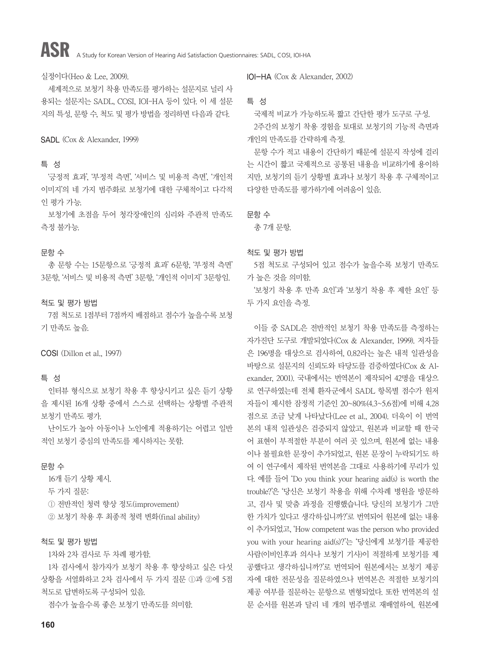# ASR A Study for Korean Version of Hearing Aid Satisfaction Questionnaires: SADL, COSI, IOI-HA

#### 실정이다(Heo & Lee, 2009).

세계적으로 보청기 착용 만족도를 평가하는 설문지로 널리 사 용되는 설문지는 SADL, COSI, IOI-HA 등이 있다. 이 세 설문 지의 특성, 문항 수, 척도 및 평가 방법을 정리하면 다음과 같다.

#### SADL (Cox & Alexander, 1999)

#### 특 성

'긍정적 효과', '부정적 측면', '서비스 및 비용적 측면', '개인적 이미지'의 네 가지 범주화로 보청기에 대한 구체적이고 다각적 인 평가 가능.

보청기에 초점을 두어 청각장애인의 심리와 주관적 만족도 측정 불가능.

#### 문항 수

총 문항 수는 15문항으로 '긍정적 효과' 6문항, '부정적 측면' 3문항, '서비스 및 비용적 측면' 3문항, '개인적 이미지' 3문항임.

#### 척도 및 평가 방법

7점 척도로 1점부터 7점까지 배점하고 점수가 높을수록 보청 기 만족도 높음.

COSI (Dillon et al., 1997)

#### 특 성

인터뷰 형식으로 보청기 착용 후 향상시키고 싶은 듣기 상황 을 제시된 16개 상황 중에서 스스로 선택하는 상황별 주관적 보청기 만족도 평가.

난이도가 높아 아동이나 노인에게 적용하기는 어렵고 일반 적인 보청기 중심의 만족도를 제시하지는 못함.

#### 문항 수

16개 듣기 상황 제시.

두 가지 질문:

ⓛ 전반적인 청력 향상 정도(improvement)

② 보청기 착용 후 최종적 청력 변화(final ability)

#### 척도 및 평가 방법

1차와 2차 검사로 두 차례 평가함.

1차 검사에서 참가자가 보청기 착용 후 향상하고 싶은 다섯 상황을 서열화하고 2차 검사에서 두 가지 질문 ⓛ과 ②에 5점 척도로 답변하도록 구성되어 있음.

점수가 높을수록 좋은 보청기 만족도를 의미함.

IOI-HA (Cox & Alexander, 2002)

#### 특 성

국제적 비교가 가능하도록 짧고 간단한 평가 도구로 구성. 2주간의 보청기 착용 경험을 토대로 보청기의 기능적 측면과 개인의 만족도를 간략하게 측정.

문항 수가 적고 내용이 간단하기 때문에 설문지 작성에 걸리 는 시간이 짧고 국제적으로 공통된 내용을 비교하기에 용이하 지만, 보청기의 듣기 상황별 효과나 보청기 착용 후 구체적이고 다양한 만족도를 평가하기에 어려움이 있음.

문항 수

총 7개 문항.

#### 척도 및 평가 방법

5점 척도로 구성되어 있고 점수가 높을수록 보청기 만족도 가 높은 것을 의미함.

'보청기 착용 후 만족 요인'과 '보청기 착용 후 제한 요인' 등 두 가지 요인을 측정.

이들 중 SADL은 전반적인 보청기 착용 만족도를 측정하는 자가진단 도구로 개발되었다(Cox & Alexander, 1999). 저자들 은 196명을 대상으로 검사하여, 0.82라는 높은 내적 일관성을 바탕으로 설문지의 신뢰도와 타당도를 검증하였다(Cox & Alexander, 2001). 국내에서는 번역본이 제작되어 42명을 대상으 로 연구하였는데 전체 환자군에서 SADL 항목별 점수가 원저 자들이 제시한 잠정적 기준인 20~80%(4.3~5.6점)에 비해 4.28 점으로 조금 낮게 나타났다(Lee et al., 2004). 더욱이 이 번역 본의 내적 일관성은 검증되지 않았고, 원본과 비교할 때 한국 어 표현이 부적절한 부분이 여러 곳 있으며, 원본에 없는 내용 이나 불필요한 문장이 추가되었고, 원본 문장이 누락되기도 하 여 이 연구에서 제작된 번역본을 그대로 사용하기에 무리가 있 다. 예를 들어 'Do you think your hearing aid(s) is worth the trouble?'은 '당신은 보청기 착용을 위해 수차례 병원을 방문하 고, 검사 및 맞춤 과정을 진행했습니다. 당신의 보청기가 그만 한 가치가 있다고 생각하십니까?'로 번역되어 원본에 없는 내용 이 추가되었고, 'How competent was the person who provided you with your hearing aid(s)?'는 '당신에게 보청기를 제공한 사람(이비인후과 의사나 보청기 기사)이 적절하게 보청기를 제 공했다고 생각하십니까?'로 번역되어 원본에서는 보청기 제공 자에 대한 전문성을 질문하였으나 번역본은 적절한 보청기의 제공 여부를 질문하는 문항으로 변형되었다. 또한 번역본의 설 문 순서를 원본과 달리 네 개의 범주별로 재배열하여, 원본에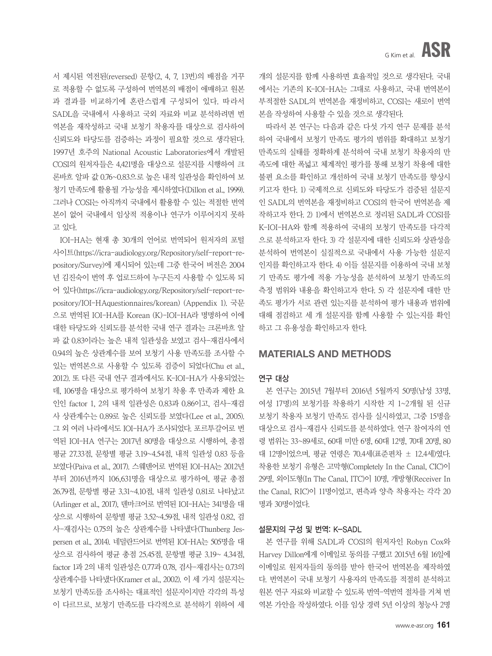서 제시된 역전된(reversed) 문항(2, 4, 7, 13번)의 배점을 거꾸 로 적용할 수 없도록 구성하여 번역본의 배점이 애매하고 원본 과 결과를 비교하기에 혼란스럽게 구성되어 있다. 따라서 SADL을 국내에서 사용하고 국외 자료와 비교 분석하려면 번 역본을 재작성하고 국내 보청기 착용자를 대상으로 검사하여 신뢰도와 타당도를 검증하는 과정이 필요할 것으로 생각된다. 1997년 호주의 National Acoustic Laboratories에서 개발된 COSI의 원저자들은 4,421명을 대상으로 설문지를 시행하여 크 론바흐 알파 값 0.76~0.83으로 높은 내적 일관성을 확인하여 보 청기 만족도에 활용될 가능성을 제시하였다(Dillon et al., 1999). 그러나 COSI는 아직까지 국내에서 활용할 수 있는 적절한 번역 본이 없어 국내에서 임상적 적용이나 연구가 이루어지지 못하 고 있다.

IOI-HA는 현재 총 30개의 언어로 번역되어 원저자의 포털 사이트(https://icra-audiology.org/Repository/self-report-repository/Survey)에 제시되어 있는데 그중 한국어 버전은 2004 년 김진숙이 번역 후 업로드하여 누구든지 사용할 수 있도록 되 어 있다(https://icra-audiology.org/Repository/self-report-repository/IOI-HAquestionnaires/korean) (Appendix 1). 국문 으로 번역된 IOI-HA를 Korean (K)-IOI-HA라 명명하여 이에 대한 타당도와 신뢰도를 분석한 국내 연구 결과는 크론바흐 알 파 값 0.83이라는 높은 내적 일관성을 보였고 검사-재검사에서 0.94의 높은 상관계수를 보여 보청기 사용 만족도를 조사할 수 있는 번역본으로 사용할 수 있도록 검증이 되었다(Chu et al., 2012). 또 다른 국내 연구 결과에서도 K-IOI-HA가 사용되었는 데, 106명을 대상으로 평가하여 보청기 착용 후 만족과 제한 요 인인 factor 1, 2의 내적 일관성은 0.83과 0.86이고, 검사-재검 사 상관계수는 0.89로 높은 신뢰도를 보였다(Lee et al., 2005). 그 외 여러 나라에서도 IOI-HA가 조사되었다. 포르투갈어로 번 역된 IOI-HA 연구는 2017년 80명을 대상으로 시행하여, 총점 평균 27.33점, 문항별 평균 3.19~4.54점, 내적 일관성 0.83 등을 보였다(Paiva et al., 2017). 스웨덴어로 번역된 IOI-HA는 2012년 부터 2016년까지 106,631명을 대상으로 평가하여, 평균 총점 26.79점, 문항별 평균 3.31~4.10점, 내적 일관성 0.81로 나타났고 (Arlinger et al., 2017), 덴마크어로 번역된 IOI-HA는 341명을 대 상으로 시행하여 문항별 평균 3.52~4.59점, 내적 일관성 0.82, 검 사-재검사는 0.75의 높은 상관계수를 나타냈다(Thunberg Jespersen et al., 2014). 네덜란드어로 번역된 IOI-HA는 505명을 대 상으로 검사하여 평균 총점 25.45점, 문항별 평균 3.19~ 4.34점, factor 1과 2의 내적 일관성은 0.77과 0.78, 검사-재검사는 0.73의 상관계수를 나타냈다(Kramer et al., 2002). 이 세 가지 설문지는 보청기 만족도를 조사하는 대표적인 설문지이지만 각각의 특성 이 다르므로, 보청기 만족도를 다각적으로 분석하기 위하여 세

개의 설문지를 함께 사용하면 효율적일 것으로 생각된다. 국내 에서는 기존의 K-IOI-HA는 그대로 사용하고, 국내 번역본이 부적절한 SADL의 번역본을 재정비하고, COSI는 새로이 번역 본을 작성하여 사용할 수 있을 것으로 생각된다.

따라서 본 연구는 다음과 같은 다섯 가지 연구 문제를 분석 하여 국내에서 보청기 만족도 평가의 범위를 확대하고 보청기 만족도의 실태를 정확하게 분석하여 국내 보청기 착용자의 만 족도에 대한 폭넓고 체계적인 평가를 통해 보청기 착용에 대한 불편 요소를 확인하고 개선하여 국내 보청기 만족도를 향상시 키고자 한다. 1) 국제적으로 신뢰도와 타당도가 검증된 설문지 인 SADL의 번역본을 재정비하고 COSI의 한국어 번역본을 제 작하고자 한다. 2) 1)에서 번역본으로 정리된 SADL과 COSI를 K-IOI-HA와 함께 적용하여 국내의 보청기 만족도를 다각적 으로 분석하고자 한다. 3) 각 설문지에 대한 신뢰도와 상관성을 분석하여 번역본이 실질적으로 국내에서 사용 가능한 설문지 인지를 확인하고자 한다. 4) 이들 설문지를 이용하여 국내 보청 기 만족도 평가에 적용 가능성을 분석하여 보청기 만족도의 측정 범위와 내용을 확인하고자 한다. 5) 각 설문지에 대한 만 족도 평가가 서로 관련 있는지를 분석하여 평가 내용과 범위에 대해 점검하고 세 개 설문지를 함께 사용할 수 있는지를 확인 하고 그 유용성을 확인하고자 한다.

#### MATERIALS AND METHODS

#### 연구 대상

본 연구는 2015년 7월부터 2016년 5월까지 50명(남성 33명, 여성 17명)의 보청기를 착용하기 시작한 지 1~2개월 된 신규 보청기 착용자 보청기 만족도 검사를 실시하였고, 그중 15명을 대상으로 검사-재검사 신뢰도를 분석하였다. 연구 참여자의 연 령 범위는 33~89세로, 60대 미만 6명, 60대 12명, 70대 20명, 80 대 12명이었으며, 평균 연령은 70.4세(표준편차 ± 12.4세)였다. 착용한 보청기 유형은 고막형(Completely In the Canal, CIC)이 29명, 외이도형(In The Canal, ITC)이 10명, 개방형(Receiver In the Canal, RIC)이 11명이었고, 편측과 양측 착용자는 각각 20 명과 30명이었다.

#### 설문지의 구성 및 번역: K-SADL

본 연구를 위해 SADL과 COSI의 원저자인 Robyn Cox와 Harvey Dillon에게 이메일로 동의를 구했고 2015년 6월 16일에 이메일로 원저자들의 동의를 받아 한국어 번역본을 제작하였 다. 번역본이 국내 보청기 사용자의 만족도를 적절히 분석하고 원본 연구 자료와 비교할 수 있도록 번역-역번역 절차를 거쳐 번 역본 가안을 작성하였다. 이를 임상 경력 5년 이상의 청능사 2명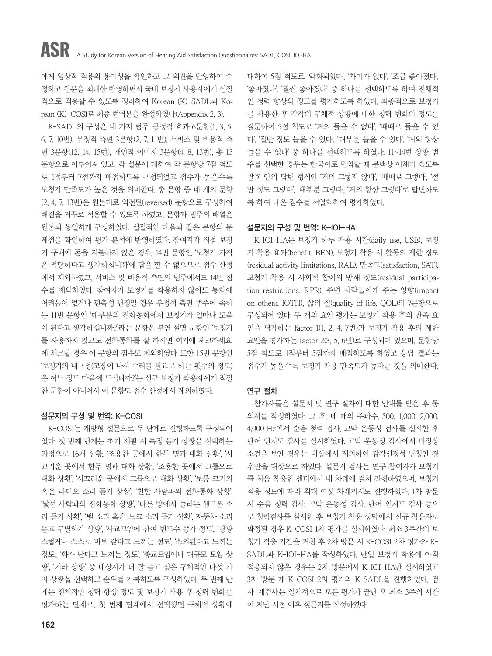에게 임상적 적용의 용이성을 확인하고 그 의견을 반영하여 수 정하고 원문을 최대한 반영하면서 국내 보청기 사용자에게 실질 적으로 적용할 수 있도록 정리하여 Korean (K)-SADL과 Korean (K)-COSI로 최종 번역본을 완성하였다(Appendix 2, 3).

K-SADL의 구성은 네 가지 범주, 긍정적 효과 6문항(1, 3, 5, 6, 7, 10번), 부정적 측면 3문항(2, 7, 11번), 서비스 및 비용적 측 면 3문항(12, 14, 15번), 개인적 이미지 3문항(4, 8, 13번), 총 15 문항으로 이루어져 있고, 각 설문에 대하여 각 문항당 7점 척도 로 1점부터 7점까지 배점하도록 구성되었고 점수가 높을수록 보청기 만족도가 높은 것을 의미한다. 총 문항 중 네 개의 문항 (2, 4, 7, 13번)은 원본대로 역전된(reversed) 문항으로 구성하여 배점을 거꾸로 적용할 수 있도록 하였고, 문항과 범주의 배열은 원본과 동일하게 구성하였다. 실질적인 다음과 같은 문항의 문 제점을 확인하여 평가 분석에 반영하였다. 참여자가 직접 보청 기 구매에 돈을 지불하지 않은 경우, 14번 문항인 '보청기 가격 은 적당하다고 생각하십니까'에 답을 할 수 없으므로 점수 산정 에서 제외하였고, 서비스 및 비용적 측면의 범주에서도 14번 점 수를 제외하였다. 참여자가 보청기를 착용하지 않아도 통화에 어려움이 없거나 편측성 난청일 경우 부정적 측면 범주에 속하 는 11번 문항인 '대부분의 전화통화에서 보청기가 얼마나 도움 이 된다고 생각하십니까?'라는 문항은 부연 설명 문항인 '보청기 를 사용하지 않고도 전화통화를 잘 하시면 여기에 체크하세요' 에 체크할 경우 이 문항의 점수도 제외하였다. 또한 15번 문항인 '보청기의 내구성(고장이 나서 수리를 필요로 하는 횟수의 정도) 은 어느 정도 마음에 드십니까?'는 신규 보청기 착용자에게 적절 한 문항이 아니어서 이 문항도 점수 산정에서 제외하였다.

#### 설문지의 구성 및 번역: K-COSI

K-COSI는 개방형 설문으로 두 단계로 진행하도록 구성되어 있다. 첫 번째 단계는 초기 재활 시 특정 듣기 상황을 선택하는 과정으로 16개 상황, '조용한 곳에서 한두 명과 대화 상황', '시 끄러운 곳에서 한두 명과 대화 상황', '조용한 곳에서 그룹으로 대화 상황', '시끄러운 곳에서 그룹으로 대화 상황', '보통 크기의 혹은 라디오 소리 듣기 상황', '친한 사람과의 전화통화 상황', '낯선 사람과의 전화통화 상황', '다른 방에서 들리는 핸드폰 소 리 듣기 상황', '벨 소리 혹은 노크 소리 듣기 상황', 자동차 소리 듣고 구별하기 상황', '사교모임에 참여 빈도수 증가 정도', '당황 스럽거나 스스로 바보 같다고 느끼는 정도', '소외된다고 느끼는 정도', '화가 난다고 느끼는 정도', '종교모임이나 대규모 모임 상 황', '기타 상황' 중 대상자가 더 잘 듣고 싶은 구체적인 다섯 가 지 상황을 선택하고 순위를 기록하도록 구성하였다. 두 번째 단 계는 전체적인 청력 향상 정도 및 보청기 착용 후 청력 변화를 평가하는 단계로, 첫 번째 단계에서 선택했던 구체적 상황에

대하여 5점 척도로 '악화되었다', '차이가 없다', '조금 좋아졌다', '좋아졌다', '훨씬 좋아졌다' 중 하나를 선택하도록 하여 전체적 인 청력 향상의 정도를 평가하도록 하였다. 최종적으로 보청기 를 착용한 후 각각의 구체적 상황에 대한 청력 변화의 정도를 질문하여 5점 척도로 '거의 들을 수 없다', '때때로 들을 수 있 다', '절반 정도 들을 수 있다', '대부분 들을 수 있다', '거의 항상 들을 수 있다' 중 하나를 선택하도록 하였다. 11~14번 상황 범 주를 선택한 경우는 한국어로 번역할 때 문맥상 이해가 쉽도록 괄호 안의 답변 형식인 '거의 그렇지 않다', '때때로 그렇다', '절 반 정도 그렇다', '대부분 그렇다', '거의 항상 그렇다'로 답변하도 록 하여 나온 점수를 서열화하여 평가하였다.

#### 설문지의 구성 및 번역: K-IOI-HA

K-IOI-HA는 보청기 하루 착용 시간(daily use, USE), 보청 기 착용 효과(benefit, BEN), 보청기 착용 시 활동의 제한 정도 (residual activity limitations, RAL), 만족도(satisfaction, SAT), 보청기 착용 시 사회적 참여의 방해 정도(residual participation restrictions, RPR), 주변 사람들에게 주는 영향(impact on others, IOTH), 삶의 질(quality of life, QOL)의 7문항으로 구성되어 있다. 두 개의 요인 평가는 보청기 착용 후의 만족 요 인을 평가하는 factor 1(1, 2, 4, 7번)과 보청기 착용 후의 제한 요인을 평가하는 factor 2(3, 5, 6번)로 구성되어 있으며, 문항당 5점 척도로 1점부터 5점까지 배점하도록 하였고 응답 결과는 점수가 높을수록 보청기 착용 만족도가 높다는 것을 의미한다.

#### 연구 절차

참가자들은 설문지 및 연구 절차에 대한 안내를 받은 후 동 의서를 작성하였다. 그 후, 네 개의 주파수, 500, 1,000, 2,000, 4,000 Hz에서 순음 청력 검사, 고막 운동성 검사를 실시한 후 단어 인지도 검사를 실시하였다. 고막 운동성 검사에서 비정상 소견을 보인 경우는 대상에서 제외하여 감각신경성 난청인 경 우만을 대상으로 하였다. 설문지 검사는 연구 참여자가 보청기 를 처음 착용한 센터에서 네 차례에 걸쳐 진행하였으며, 보청기 적응 정도에 따라 최대 여섯 차례까지도 진행하였다. 1차 방문 시 순음 청력 검사, 고막 운동성 검사, 단어 인지도 검사 등으 로 청력검사를 실시한 후 보청기 착용 상담에서 신규 착용자로 확정된 경우 K-COSI 1차 평가를 실시하였다. 최소 3주간의 보 청기 적응 기간을 거친 후 2차 방문 시 K-COSI 2차 평가와 K-SADL과 K-IOI-HA를 작성하였다. 만일 보청기 착용에 아직 적응되지 않은 경우는 2차 방문에서 K-IOI-HA만 실시하였고 3차 방문 때 K-COSI 2차 평가와 K-SADL을 진행하였다. 검 사-재검사는 일차적으로 모든 평가가 끝난 후 최소 3주의 시간 이 지난 시점 이후 설문지를 작성하였다.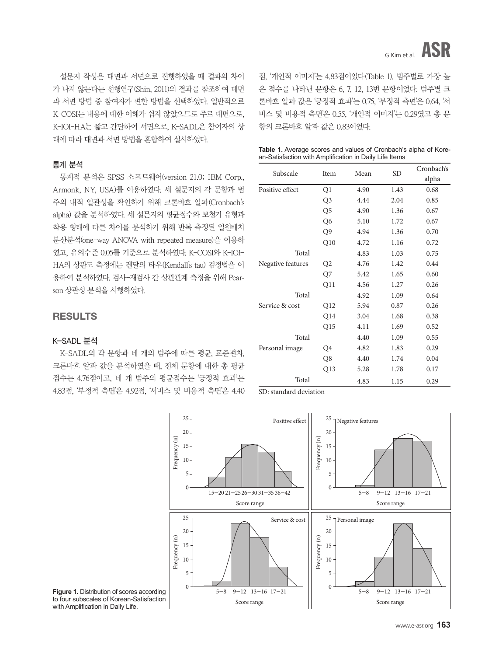설문지 작성은 대면과 서면으로 진행하였을 때 결과의 차이 가 나지 않는다는 선행연구(Shin, 2011)의 결과를 참조하여 대면 과 서면 방법 중 참여자가 편한 방법을 선택하였다. 일반적으로 K-COSI는 내용에 대한 이해가 쉽지 않았으므로 주로 대면으로, K-IOI-HA는 짧고 간단하여 서면으로, K-SADL은 참여자의 상 태에 따라 대면과 서면 방법을 혼합하여 실시하였다.

#### 통계 분석

통계적 분석은 SPSS 소프트웨어(version 21.0; IBM Corp., Armonk, NY, USA)를 이용하였다. 세 설문지의 각 문항과 범 주의 내적 일관성을 확인하기 위해 크론바흐 알파(Cronbach's alpha) 값을 분석하였다. 세 설문지의 평균점수와 보청기 유형과 착용 형태에 따른 차이를 분석하기 위해 반복 측정된 일원배치 분산분석(one-way ANOVA with repeated measure)을 이용하 였고, 유의수준 0.05를 기준으로 분석하였다. K-COSI와 K-IOI-HA의 상관도 측정에는 켄달의 타우(Kendall's tau) 검정법을 이 용하여 분석하였다. 검사-재검사 간 상관관계 측정을 위해 Pearson 상관성 분석을 시행하였다.

### **RESULTS**

#### K-SADL 분석

K-SADL의 각 문항과 네 개의 범주에 따른 평균, 표준편차, 크론바흐 알파 값을 분석하였을 때, 전체 문항에 대한 총 평균 점수는 4.76점이고, 네 개 범주의 평균점수는 '긍정적 효과'는 4.83점, '부정적 측면'은 4.92점, '서비스 및 비용적 측면'은 4.40 점, '개인적 이미지'는 4.83점이었다(Table 1). 범주별로 가장 높 은 점수를 나타낸 문항은 6, 7, 12, 13번 문항이었다. 범주별 크 론바흐 알파 값은 '긍정적 효과'는 0.75, '부정적 측면'은 0.64, '서 비스 및 비용적 측면'은 0.55, '개인적 이미지'는 0.29였고 총 문 항의 크론바흐 알파 값은 0.83이었다.

|  |  |  | <b>Table 1.</b> Average scores and values of Cronbach's alpha of Kore- |  |  |
|--|--|--|------------------------------------------------------------------------|--|--|
|  |  |  | an-Satisfaction with Amplification in Daily Life Items                 |  |  |

|                   |                 |      |           | Cronbach's |
|-------------------|-----------------|------|-----------|------------|
| Subscale          | Item            | Mean | <b>SD</b> | alpha      |
| Positive effect   | Q1              | 4.90 | 1.43      | 0.68       |
|                   | Q3              | 4.44 | 2.04      | 0.85       |
|                   | Q <sub>5</sub>  | 4.90 | 1.36      | 0.67       |
|                   | Q <sub>6</sub>  | 5.10 | 1.72      | 0.67       |
|                   | Q9              | 4.94 | 1.36      | 0.70       |
|                   | Q10             | 4.72 | 1.16      | 0.72       |
| Total             |                 | 4.83 | 1.03      | 0.75       |
| Negative features | Q2              | 4.76 | 1.42      | 0.44       |
|                   | Q7              | 5.42 | 1.65      | 0.60       |
|                   | Q11             | 4.56 | 1.27      | 0.26       |
| Total             |                 | 4.92 | 1.09      | 0.64       |
| Service & cost    | Q <sub>12</sub> | 5.94 | 0.87      | 0.26       |
|                   | Q14             | 3.04 | 1.68      | 0.38       |
|                   | Q15             | 4.11 | 1.69      | 0.52       |
| Total             |                 | 4.40 | 1.09      | 0.55       |
| Personal image    | Q4              | 4.82 | 1.83      | 0.29       |
|                   | Q8              | 4.40 | 1.74      | 0.04       |
|                   | Q13             | 5.28 | 1.78      | 0.17       |
| Total             |                 | 4.83 | 1.15      | 0.29       |

SD: standard deviation



**Figure 1.** Distribution of scores according to four subscales of Korean-Satisfaction with Amplification in Daily Life.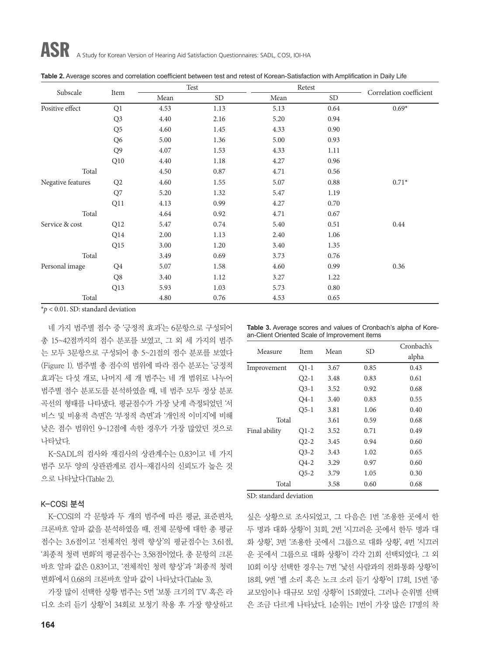|                   |                 | Test |           |      | Retest    | Correlation coefficient |  |
|-------------------|-----------------|------|-----------|------|-----------|-------------------------|--|
| Subscale          | Item            | Mean | <b>SD</b> | Mean | <b>SD</b> |                         |  |
| Positive effect   | Q <sub>1</sub>  | 4.53 | 1.13      | 5.13 | 0.64      | $0.69*$                 |  |
|                   | Q <sub>3</sub>  | 4.40 | 2.16      | 5.20 | 0.94      |                         |  |
|                   | Q <sub>5</sub>  | 4.60 | 1.45      | 4.33 | 0.90      |                         |  |
|                   | Q <sub>6</sub>  | 5.00 | 1.36      | 5.00 | 0.93      |                         |  |
|                   | Q <sub>9</sub>  | 4.07 | 1.53      | 4.33 | 1.11      |                         |  |
|                   | Q10             | 4.40 | 1.18      | 4.27 | 0.96      |                         |  |
| Total             |                 | 4.50 | 0.87      | 4.71 | 0.56      |                         |  |
| Negative features | Q <sub>2</sub>  | 4.60 | 1.55      | 5.07 | 0.88      | $0.71*$                 |  |
|                   | Q7              | 5.20 | 1.32      | 5.47 | 1.19      |                         |  |
|                   | Q11             | 4.13 | 0.99      | 4.27 | 0.70      |                         |  |
| Total             |                 | 4.64 | 0.92      | 4.71 | 0.67      |                         |  |
| Service & cost    | Q12             | 5.47 | 0.74      | 5.40 | 0.51      | 0.44                    |  |
|                   | Q <sub>14</sub> | 2.00 | 1.13      | 2.40 | 1.06      |                         |  |
|                   | Q <sub>15</sub> | 3.00 | 1.20      | 3.40 | 1.35      |                         |  |
| Total             |                 | 3.49 | 0.69      | 3.73 | 0.76      |                         |  |
| Personal image    | Q4              | 5.07 | 1.58      | 4.60 | 0.99      | 0.36                    |  |
|                   | Q8              | 3.40 | 1.12      | 3.27 | 1.22      |                         |  |
|                   | Q <sub>13</sub> | 5.93 | 1.03      | 5.73 | 0.80      |                         |  |
| Total             |                 | 4.80 | 0.76      | 4.53 | 0.65      |                         |  |

| Table 2. Average scores and correlation coefficient between test and retest of Korean-Satisfaction with Amplification in Daily Life |  |
|-------------------------------------------------------------------------------------------------------------------------------------|--|
|-------------------------------------------------------------------------------------------------------------------------------------|--|

\**p* < 0.01. SD: standard deviation

네 가지 범주별 점수 중 '긍정적 효과'는 6문항으로 구성되어 총 15~42점까지의 점수 분포를 보였고, 그 외 세 가지의 범주 는 모두 3문항으로 구성되어 총 5~21점의 점수 분포를 보였다 (Figure 1). 범주별 총 점수의 범위에 따라 점수 분포는 '긍정적 효과'는 다섯 개로, 나머지 세 개 범주는 네 개 범위로 나누어 범주별 점수 분포도를 분석하였을 때, 네 범주 모두 정상 분포 곡선의 형태를 나타냈다. 평균점수가 가장 낮게 측정되었던 '서 비스 및 비용적 측면'은 '부정적 측면'과 '개인적 이미지'에 비해 낮은 점수 범위인 9~12점에 속한 경우가 가장 많았던 것으로 나타났다.

K-SADL의 검사와 재검사의 상관계수는 0.83이고 네 가지 범주 모두 양의 상관관계로 검사-재검사의 신뢰도가 높은 것 으로 나타났다(Table 2).

#### K-COSI 분석

K-COSI의 각 문항과 두 개의 범주에 따른 평균, 표준편차, 크론바흐 알파 값을 분석하였을 때, 전체 문항에 대한 총 평균 점수는 3.6점이고 '전체적인 청력 향상'의 평균점수는 3.61점, '최종적 청력 변화'의 평균점수는 3.58점이었다. 총 문항의 크론 바흐 알파 값은 0.83이고, '전체적인 청력 향상'과 '최종적 청력 변화'에서 0.68의 크론바흐 알파 값이 나타났다(Table 3).

가장 많이 선택한 상황 범주는 5번 '보통 크기의 TV 혹은 라 디오 소리 듣기 상황'이 34회로 보청기 착용 후 가장 향상하고

**Table 3.** Average scores and values of Cronbach's alpha of Korean-Client Oriented Scale of Improvement items

| Measure                |        | Mean | <b>SD</b> | Cronbach's |
|------------------------|--------|------|-----------|------------|
|                        | Item   |      |           | alpha      |
| Improvement            | $Q1-1$ | 3.67 | 0.85      | 0.43       |
|                        | $Q2-1$ | 3.48 | 0.83      | 0.61       |
|                        | $Q3-1$ | 3.52 | 0.92      | 0.68       |
|                        | $Q4-1$ | 3.40 | 0.83      | 0.55       |
|                        | $O5-1$ | 3.81 | 1.06      | 0.40       |
| Total                  |        | 3.61 | 0.59      | 0.68       |
| Final ability          | $Q1-2$ | 3.52 | 0.71      | 0.49       |
|                        | $Q2-2$ | 3.45 | 0.94      | 0.60       |
|                        | $Q3-2$ | 3.43 | 1.02      | 0.65       |
|                        | $Q4-2$ | 3.29 | 0.97      | 0.60       |
|                        | $O5-2$ | 3.79 | 1.05      | 0.30       |
| Total                  |        | 3.58 | 0.60      | 0.68       |
| SD: standard deviation |        |      |           |            |

싶은 상황으로 조사되었고, 그 다음은 1번 '조용한 곳에서 한 두 명과 대화 상황'이 31회, 2번 '시끄러운 곳에서 한두 명과 대 화 상황', 3번 '조용한 곳에서 그룹으로 대화 상황', 4번 '시끄러 운 곳에서 그룹으로 대화 상황'이 각각 21회 선택되었다. 그 외 10회 이상 선택한 경우는 7번 '낯선 사람과의 전화통화 상황'이 18회, 9번 '벨 소리 혹은 노크 소리 듣기 상황'이 17회, 15번 '종 교모임이나 대규모 모임 상황'이 15회였다. 그러나 순위별 선택 은 조금 다르게 나타났다. 1순위는 1번이 가장 많은 17명의 착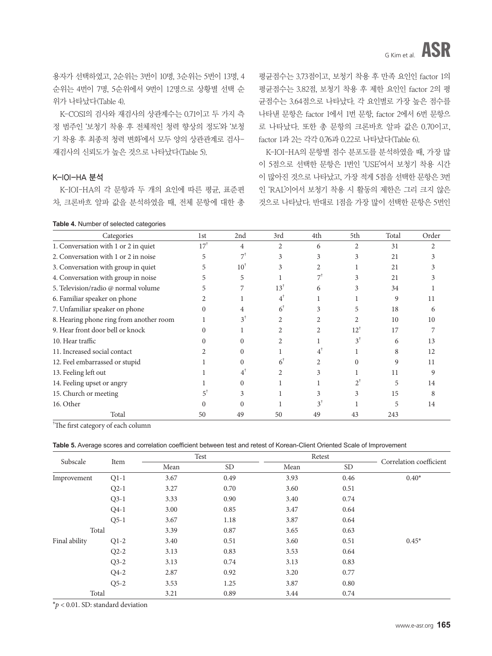용자가 선택하였고, 2순위는 3번이 10명, 3순위는 5번이 13명, 4 순위는 4번이 7명, 5순위에서 9번이 12명으로 상황별 선택 순 위가 나타났다(Table 4).

K-COSI의 검사와 재검사의 상관계수는 0.71이고 두 가지 측 정 범주인 '보청기 착용 후 전체적인 청력 향상의 정도'와 '보청 기 착용 후 최종적 청력 변화'에서 모두 양의 상관관계로 검사-재검사의 신뢰도가 높은 것으로 나타났다(Table 5).

#### K-IOI-HA 분석

K-IOI-HA의 각 문항과 두 개의 요인에 따른 평균, 표준편 차, 크론바흐 알파 값을 분석하였을 때, 전체 문항에 대한 총

|  |  |  |  |  |  |  | <b>Table 4.</b> Number of selected categories |
|--|--|--|--|--|--|--|-----------------------------------------------|
|--|--|--|--|--|--|--|-----------------------------------------------|

평균점수는 3.73점이고, 보청기 착용 후 만족 요인인 factor 1의 평균점수는 3.82점, 보청기 착용 후 제한 요인인 factor 2의 평 균점수는 3.64점으로 나타났다. 각 요인별로 가장 높은 점수를 나타낸 문항은 factor 1에서 1번 문항, factor 2에서 6번 문항으 로 나타났다. 또한 총 문항의 크론바흐 알파 값은 0.70이고, factor 1과 2는 각각 0.76과 0.22로 나타났다(Table 6).

K-IOI-HA의 문항별 점수 분포도를 분석하였을 때, 가장 많 이 5점으로 선택한 문항은 1번인 'USE'여서 보청기 착용 시간 이 많아진 것으로 나타났고, 가장 적게 5점을 선택한 문항은 3번 인 'RAL'이어서 보청기 착용 시 활동의 제한은 그리 크지 않은 것으로 나타났다. 반대로 1점을 가장 많이 선택한 문항은 5번인

| Categories                              | 1st             | 2nd             | 3rd            | 4th            | 5th            | Total       | Order |
|-----------------------------------------|-----------------|-----------------|----------------|----------------|----------------|-------------|-------|
| 1. Conversation with 1 or 2 in quiet    | 17 <sup>†</sup> | 4               | $\mathfrak{D}$ | 6              | $\mathfrak{D}$ | 31          |       |
| 2. Conversation with 1 or 2 in noise    | 5               | $7^{\dagger}$   | 3              | 3              | 3              | 21          |       |
| 3. Conversation with group in quiet     | 5               | 10 <sup>1</sup> | 3              | $\mathfrak{D}$ |                | 21          |       |
| 4. Conversation with group in noise     |                 | 5               |                | 7              | 3              | 21          |       |
| 5. Television/radio @ normal volume     |                 |                 | $13^{\dagger}$ | 6              | 3              | 34          |       |
| 6. Familiar speaker on phone            |                 |                 |                |                |                | 9           | 11    |
| 7. Unfamiliar speaker on phone          | $\Omega$        |                 | 6              |                |                | 18          | 6     |
| 8. Hearing phone ring from another room |                 | $3^{\dagger}$   |                |                |                | 10          | 10    |
| 9. Hear front door bell or knock        |                 |                 |                |                | $12^{\dagger}$ | 17          |       |
| 10. Hear traffic                        |                 |                 |                |                | $3^1$          | 6           | 13    |
| 11. Increased social contact            |                 |                 |                | 4              |                | 8           | 12    |
| 12. Feel embarrassed or stupid          |                 |                 | 6              |                |                | $\mathbf Q$ | 11    |
| 13. Feeling left out                    |                 |                 |                |                |                | 11          | 9     |
| 14. Feeling upset or angry              |                 |                 |                |                |                | 5           | 14    |
| 15. Church or meeting                   |                 |                 |                |                |                | 15          |       |
| 16. Other                               |                 |                 |                | 3              |                | 5           | 14    |
| Total                                   | 50              | 49              | 50             | 49             | 43             | 243         |       |

† The first category of each column

| Table 5. Average scores and correlation coefficient between test and retest of Korean-Client Oriented Scale of Improvement |  |  |  |
|----------------------------------------------------------------------------------------------------------------------------|--|--|--|
|----------------------------------------------------------------------------------------------------------------------------|--|--|--|

| Subscale      |        |      | Test      | Retest |           |                         |
|---------------|--------|------|-----------|--------|-----------|-------------------------|
|               | Item   | Mean | <b>SD</b> | Mean   | <b>SD</b> | Correlation coefficient |
| Improvement   | $Q1-1$ | 3.67 | 0.49      | 3.93   | 0.46      | $0.40*$                 |
|               | $Q2-1$ | 3.27 | 0.70      | 3.60   | 0.51      |                         |
|               | $Q3-1$ | 3.33 | 0.90      | 3.40   | 0.74      |                         |
|               | $Q4-1$ | 3.00 | 0.85      | 3.47   | 0.64      |                         |
|               | $O5-1$ | 3.67 | 1.18      | 3.87   | 0.64      |                         |
| Total         |        | 3.39 | 0.87      | 3.65   | 0.63      |                         |
| Final ability | $Q1-2$ | 3.40 | 0.51      | 3.60   | 0.51      | $0.45*$                 |
|               | $Q2-2$ | 3.13 | 0.83      | 3.53   | 0.64      |                         |
|               | $Q3-2$ | 3.13 | 0.74      | 3.13   | 0.83      |                         |
|               | $Q4-2$ | 2.87 | 0.92      | 3.20   | 0.77      |                         |
|               | $O5-2$ | 3.53 | 1.25      | 3.87   | 0.80      |                         |
| Total         |        | 3.21 | 0.89      | 3.44   | 0.74      |                         |

\**p* < 0.01. SD: standard deviation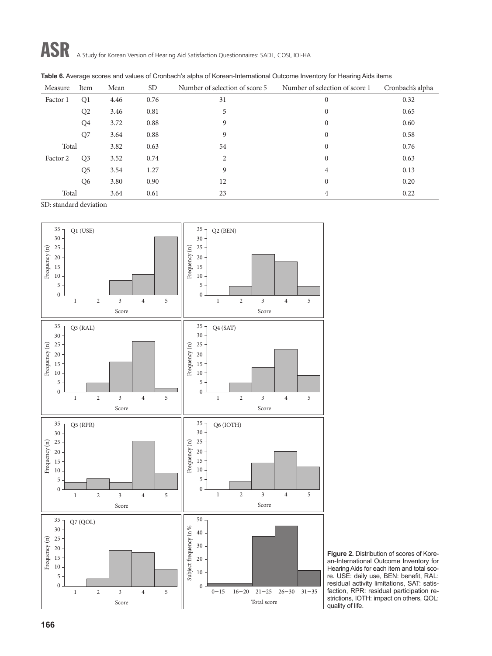| Measure  | Item           | Mean | <b>SD</b> | Number of selection of score 5 | Number of selection of score 1 | Cronbach's alpha |
|----------|----------------|------|-----------|--------------------------------|--------------------------------|------------------|
| Factor 1 | Q <sub>1</sub> | 4.46 | 0.76      | 31                             | $\mathbf{0}$                   | 0.32             |
|          | Q <sub>2</sub> | 3.46 | 0.81      | 5                              | $\mathbf{0}$                   | 0.65             |
|          | Q4             | 3.72 | 0.88      | 9                              | $\mathbf{0}$                   | 0.60             |
|          | Q7             | 3.64 | 0.88      | 9                              | $\mathbf{0}$                   | 0.58             |
| Total    |                | 3.82 | 0.63      | 54                             | $\mathbf{0}$                   | 0.76             |
| Factor 2 | Q <sub>3</sub> | 3.52 | 0.74      | $\overline{2}$                 | $\mathbf{0}$                   | 0.63             |
|          | Q <sub>5</sub> | 3.54 | 1.27      | 9                              | 4                              | 0.13             |
|          | Q <sub>6</sub> | 3.80 | 0.90      | 12                             | $\theta$                       | 0.20             |
| Total    |                | 3.64 | 0.61      | 23                             | 4                              | 0.22             |

SD: standard deviation



**Figure 2.** Distribution of scores of Korean-International Outcome Inventory for Hearing Aids for each item and total score. USE: daily use, BEN: benefit, RAL: residual activity limitations, SAT: satisfaction, RPR: residual participation restrictions, IOTH: impact on others, QOL: quality of life.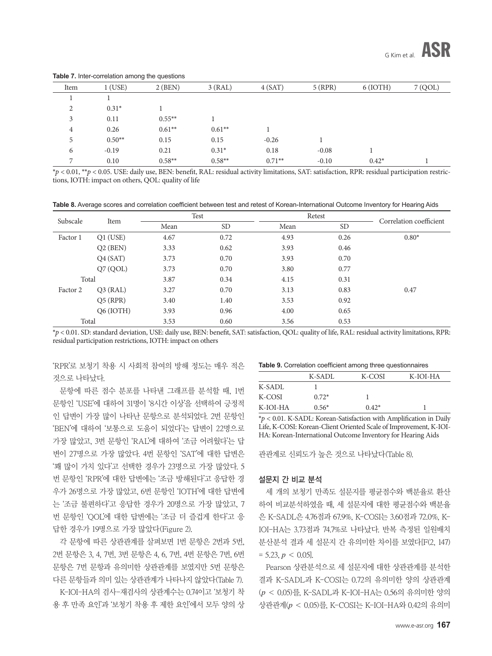| Item           | $1$ (USE) | $2$ (BEN) | 3(RAL)    | 4(SAT)    | $5$ (RPR) | $6$ (IOTH) | 7 (QOL) |
|----------------|-----------|-----------|-----------|-----------|-----------|------------|---------|
|                |           |           |           |           |           |            |         |
| 2              | $0.31*$   |           |           |           |           |            |         |
| 3              | 0.11      | $0.55***$ |           |           |           |            |         |
| 4              | 0.26      | $0.61***$ | $0.61***$ |           |           |            |         |
| 5              | $0.50**$  | 0.15      | 0.15      | $-0.26$   |           |            |         |
| 6              | $-0.19$   | 0.21      | $0.31*$   | 0.18      | $-0.08$   |            |         |
| $\overline{ }$ | 0.10      | $0.58***$ | $0.58**$  | $0.71***$ | $-0.10$   | $0.42*$    |         |

**Table 7.** Inter-correlation among the questions

\**p* < 0.01, \*\**p* < 0.05. USE: daily use, BEN: benefit, RAL: residual activity limitations, SAT: satisfaction, RPR: residual participation restrictions, IOTH: impact on others, QOL: quality of life

**Table 8.** Average scores and correlation coefficient between test and retest of Korean-International Outcome Inventory for Hearing Aids

| Subscale | Item       | Test |           | Retest |           | Correlation coefficient |  |
|----------|------------|------|-----------|--------|-----------|-------------------------|--|
|          |            | Mean | <b>SD</b> | Mean   | <b>SD</b> |                         |  |
| Factor 1 | $Q1$ (USE) | 4.67 | 0.72      | 4.93   | 0.26      | $0.80*$                 |  |
|          | $Q2$ (BEN) | 3.33 | 0.62      | 3.93   | 0.46      |                         |  |
|          | Q4(SAT)    | 3.73 | 0.70      | 3.93   | 0.70      |                         |  |
|          | Q7 (QOL)   | 3.73 | 0.70      | 3.80   | 0.77      |                         |  |
| Total    |            | 3.87 | 0.34      | 4.15   | 0.31      |                         |  |
| Factor 2 | $Q3$ (RAL) | 3.27 | 0.70      | 3.13   | 0.83      | 0.47                    |  |
|          | $Q5$ (RPR) | 3.40 | 1.40      | 3.53   | 0.92      |                         |  |
|          | Q6 (IOTH)  | 3.93 | 0.96      | 4.00   | 0.65      |                         |  |
| Total    |            | 3.53 | 0.60      | 3.56   | 0.53      |                         |  |

\**p* < 0.01. SD: standard deviation, USE: daily use, BEN: benefit, SAT: satisfaction, QOL: quality of life, RAL: residual activity limitations, RPR: residual participation restrictions, IOTH: impact on others

'RPR'로 보청기 착용 시 사회적 참여의 방해 정도는 매우 적은 것으로 나타났다.

문항에 따른 점수 분포를 나타낸 그래프를 분석할 때, 1번 문항인 'USE'에 대하여 31명이 '8시간 이상'을 선택하여 긍정적 인 답변이 가장 많이 나타난 문항으로 분석되었다. 2번 문항인 'BEN'에 대하여 '보통으로 도움이 되었다'는 답변이 22명으로 가장 많았고, 3번 문항인 'RAL'에 대하여 '조금 어려웠다'는 답 변이 27명으로 가장 많았다. 4번 문항인 'SAT'에 대한 답변은 '꽤 많이 가치 있다'고 선택한 경우가 23명으로 가장 많았다. 5 번 문항인 'RPR'에 대한 답변에는 '조금 방해된다'고 응답한 경 우가 26명으로 가장 많았고, 6번 문항인 'IOTH'에 대한 답변에 는 '조금 불편하다'고 응답한 경우가 20명으로 가장 많았고, 7 번 문항인 'QOL'에 대한 답변에는 '조금 더 즐겁게 한다'고 응 답한 경우가 19명으로 가장 많았다(Figure 2).

각 문항에 따른 상관관계를 살펴보면 1번 문항은 2번과 5번, 2번 문항은 3, 4, 7번, 3번 문항은 4, 6, 7번, 4번 문항은 7번, 6번 문항은 7번 문항과 유의미한 상관관계를 보였지만 5번 문항은 다른 문항들과 의미 있는 상관관계가 나타나지 않았다(Table 7).

K-IOI-HA의 검사-재검사의 상관계수는 0.74이고 '보청기 착 용 후 만족 요인'과 '보청기 착용 후 제한 요인'에서 모두 양의 상

**Table 9.** Correlation coefficient among three questionnaires

|          | K-SADL  | K-COSI  | K-IOI-HA |
|----------|---------|---------|----------|
| K-SADL   |         |         |          |
| K-COSI   | $0.72*$ |         |          |
| K-IOI-HA | $0.56*$ | $0.42*$ |          |

\**p* < 0.01. K-SADL: Korean-Satisfaction with Amplification in Daily Life, K-COSI: Korean-Client Oriented Scale of Improvement, K-IOI-HA: Korean-International Outcome Inventory for Hearing Aids

관관계로 신뢰도가 높은 것으로 나타났다(Table 8).

#### 설문지 간 비교 분석

세 개의 보청기 만족도 설문지를 평균점수와 백분율로 환산 하여 비교분석하였을 때, 세 설문지에 대한 평균점수와 백분율 은 K-SADL은 4.76점과 67.9%, K-COSI는 3.60점과 72.0%, K-IOI-HA는 3.73점과 74.7%로 나타났다. 반복 측정된 일원배치 분산분석 결과 세 설문지 간 유의미한 차이를 보였다[F(2, 147)  $= 5.23, p \le 0.05$ ].

Pearson 상관분석으로 세 설문지에 대한 상관관계를 분석한 결과 K-SADL과 K-COSI는 0.72의 유의미한 양의 상관관계 (*p* < 0.05)를, K-SADL과 K-IOI-HA는 0.56의 유의미한 양의 상관관계(*p* < 0.05)를, K-COSI는 K-IOI-HA와 0.42의 유의미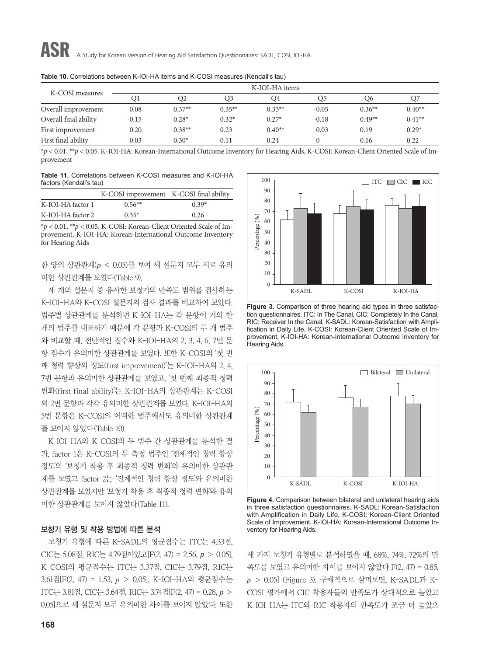| K-COSI measures       | K-IOI-HA items |           |           |           |                |          |           |  |  |
|-----------------------|----------------|-----------|-----------|-----------|----------------|----------|-----------|--|--|
|                       | O1             | O2        | O3        | Q4        | O <sub>5</sub> | O6       | Q7        |  |  |
| Overall improvement   | 0.08           | $0.37**$  | $0.35***$ | $0.33***$ | $-0.05$        | $0.36**$ | $0.40**$  |  |  |
| Overall final ability | $-0.15$        | $0.28*$   | $0.32*$   | $0.27*$   | $-0.18$        | $0.49**$ | $0.41***$ |  |  |
| First improvement     | 0.20           | $0.38***$ | 0.23      | $0.40**$  | 0.03           | 0.19     | $0.29*$   |  |  |
| First final ability   | 0.03           | $0.30*$   | 0.11      | 0.24      | $\Omega$       | 0.16     | 0.22      |  |  |

**Table 10.** Correlations between K-IOI-HA items and K-COSI measures (Kendall's tau)

\**p* < 0.01, \*\**p* < 0.05. K-IOI-HA: Korean-International Outcome Inventory for Hearing Aids, K-COSI: Korean-Client Oriented Scale of Improvement

**Table 11.** Correlations between K-COSI measures and K-IOI-HA factors (Kendall's tau)

|                   | K-COSI improvement K-COSI final ability |         |
|-------------------|-----------------------------------------|---------|
| K-IOI-HA factor 1 | $0.56**$                                | $0.39*$ |
| K-IOI-HA factor 2 | $0.35*$                                 | 0.26    |

\**p* < 0.01, \*\**p* < 0.05. K-COSI: Korean-Client Oriented Scale of Improvement, K-IOI-HA: Korean-International Outcome Inventory for Hearing Aids

한 양의 상관관계(*p* < 0.05)를 보여 세 설문지 모두 서로 유의 미한 상관관계를 보였다(Table 9).

세 개의 설문지 중 유사한 보청기의 만족도 범위를 검사하는 K-IOI-HA와 K-COSI 설문지의 검사 결과를 비교하여 보았다. 범주별 상관관계를 분석하면 K-IOI-HA는 각 문항이 거의 한 개의 범주를 대표하기 때문에 각 문항과 K-COSI의 두 개 범주 와 비교할 때, 전반적인 점수와 K-IOI-HA의 2, 3, 4, 6, 7번 문 항 점수가 유의미한 상관관계를 보였다. 또한 K-COSI의 '첫 번 째 청력 향상의 정도(first improvement)'는 K-IOI-HA의 2, 4, 7번 문항과 유의미한 상관관계를 보였고, '첫 번째 최종적 청력 변화(first final ability)'는 K-IOI-HA의 상관관계는 K-COSI 의 2번 문항과 각각 유의미한 상관관계를 보였다. K-IOI-HA의 5번 문항은 K-COSI의 어떠한 범주에서도 유의미한 상관관계 를 보이지 않았다(Table 10).

K-IOI-HA와 K-COSI의 두 범주 간 상관관계를 분석한 결 과, factor 1은 K-COSI의 두 측정 범주인 '전체적인 청력 향상 정도'와 '보청기 착용 후 최종적 청력 변화'와 유의미한 상관관 계를 보였고 factor 2는 '전체적인 청력 향상 정도'와 유의미한 상관관계를 보였지만 '보청기 착용 후 최종적 청력 변화'와 유의 미한 상관관계를 보이지 않았다(Table 11).

#### 보청기 유형 및 착용 방법에 따른 분석

보청기 유형에 따른 K-SADL의 평균점수는 ITC는 4.33점, CIC는 5.08점, RIC는 4.79점이었고[F(2, 47) = 2.56, *p* > 0.05], K-COSI의 평균점수는 ITC는 3.37점, CIC는 3.79점, RIC는 3.61점[F(2, 47) = 1.53, *p* > 0.05], K-IOI-HA의 평균점수는 ITC는 3.81점, CIC는 3.64점, RIC는 3.74점[F(2, 47) = 0.28, *p* > 0.05]으로 세 설문지 모두 유의미한 차이를 보이지 않았다. 또한



**Figure 3.** Comparison of three hearing aid types in three satisfaction questionnaires. ITC: In The Canal, CIC: Completely In the Canal, RIC: Receiver In the Canal, K-SADL: Korean-Satisfaction with Amplification in Daily Life, K-COSI: Korean-Client Oriented Scale of Improvement, K-IOI-HA: Korean-International Outcome Inventory for Hearing Aids.



**Figure 4.** Comparison between bilateral and unilateral hearing aids in three satisfaction questionnaires. K-SADL: Korean-Satisfaction with Amplification in Daily Life, K-COSI: Korean-Client Oriented Scale of Improvement, K-IOI-HA: Korean-International Outcome Inventory for Hearing Aids.

세 가지 보청기 유형별로 분석하였을 때, 68%, 74%, 72%의 만 족도를 보였고 유의미한 차이를 보이지 않았다[F(2, 47) = 0.85, *p* > 0.05] (Figure 3). 구체적으로 살펴보면, K-SADL과 K-COSI 평가에서 CIC 착용자들의 만족도가 상대적으로 높았고 K-IOI-HA는 ITC와 RIC 착용자의 만족도가 조금 더 높았으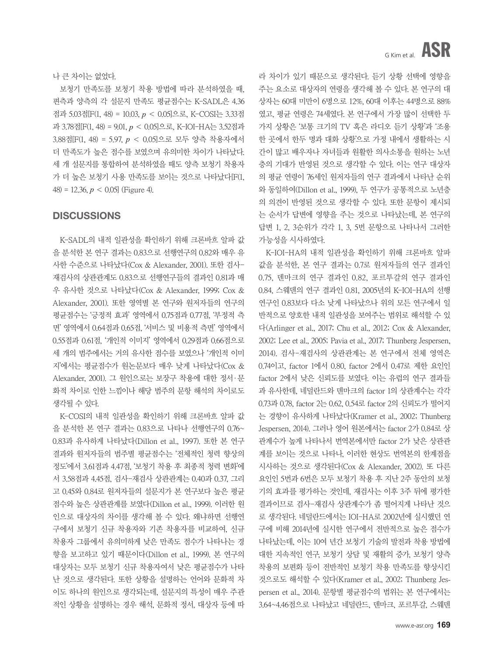나 큰 차이는 없었다.

보청기 만족도를 보청기 착용 방법에 따라 분석하였을 때, 편측과 양측의 각 설문지 만족도 평균점수는 K-SADL은 4.36 점과 5.03점[F(1, 48) = 10.03, *p* < 0.05]으로, K-COSI는 3.33점 과 3.78점[F(1, 48) = 9.01, *p* < 0.05]으로, K-IOI-HA는 3.52점과 3.88점[F(1, 48) = 5.97, *p* < 0.05]으로 모두 양측 착용자에서 더 만족도가 높은 점수를 보였으며 유의미한 차이가 나타났다. 세 개 설문지를 통합하여 분석하였을 때도 양측 보청기 착용자 가 더 높은 보청기 사용 만족도를 보이는 것으로 나타났다[F(1, 48) = 12.36,  $p < 0.05$  (Figure 4).

#### **DISCUSSIONS**

K-SADL의 내적 일관성을 확인하기 위해 크론바흐 알파 값 을 분석한 본 연구 결과는 0.83으로 선행연구의 0.82와 매우 유 사한 수준으로 나타났다(Cox & Alexander, 2001). 또한 검사-재검사의 상관관계도 0.83으로 선행연구들의 결과인 0.81과 매 우 유사한 것으로 나타났다(Cox & Alexander, 1999; Cox & Alexander, 2001). 또한 영역별 본 연구와 원저자들의 연구의 평균점수는 '긍정적 효과' 영역에서 0.75점과 0.77점, '부정적 측 면' 영역에서 0.64점과 0.65점, '서비스 및 비용적 측면' 영역에서 0.55점과 0.61점, '개인적 이미지' 영역에서 0.29점과 0.66점으로 세 개의 범주에서는 거의 유사한 점수를 보였으나 '개인적 이미 지'에서는 평균점수가 원논문보다 매우 낮게 나타났다(Cox & Alexander, 2001). 그 원인으로는 보장구 착용에 대한 정서·문 화적 차이로 인한 느낌이나 해당 범주의 문항 해석의 차이로도 생각될 수 있다.

K-COSI의 내적 일관성을 확인하기 위해 크론바흐 알파 값 을 분석한 본 연구 결과는 0.83으로 나타나 선행연구의 0.76~ 0.83과 유사하게 나타났다(Dillon et al., 1997). 또한 본 연구 결과와 원저자들의 범주별 평균점수는 '전체적인 청력 향상의 정도'에서 3.61점과 4.47점, '보청기 착용 후 최종적 청력 변화'에 서 3.58점과 4.45점, 검사-재검사 상관관계는 0.40과 0.37, 그리 고 0.45와 0.84로 원저자들의 설문지가 본 연구보다 높은 평균 점수와 높은 상관관계를 보였다(Dillon et al., 1999). 이러한 원 인으로 대상자의 차이를 생각해 볼 수 있다. 왜냐하면 선행연 구에서 보청기 신규 착용자와 기존 착용자를 비교하여, 신규 착용자 그룹에서 유의미하게 낮은 만족도 점수가 나타나는 경 향을 보고하고 있기 때문이다(Dillon et al., 1999). 본 연구의 대상자는 모두 보청기 신규 착용자여서 낮은 평균점수가 나타 난 것으로 생각된다. 또한 상황을 설명하는 언어와 문화적 차 이도 하나의 원인으로 생각되는데, 설문지의 특성이 매우 주관 적인 상황을 설명하는 경우 해석, 문화적 정서, 대상자 등에 따 라 차이가 있기 때문으로 생각된다. 듣기 상황 선택에 영향을 주는 요소로 대상자의 연령을 생각해 볼 수 있다. 본 연구의 대 상자는 60대 미만이 6명으로 12%, 60대 이후는 44명으로 88% 였고, 평균 연령은 74세였다. 본 연구에서 가장 많이 선택한 두 가지 상황은 '보통 크기의 TV 혹은 라디오 듣기 상황'과 '조용 한 곳에서 한두 명과 대화 상황'으로 가정 내에서 생활하는 시 간이 많고 배우자나 자녀들과 원활한 의사소통을 원하는 노년 층의 기대가 반영된 것으로 생각할 수 있다. 이는 연구 대상자 의 평균 연령이 76세인 원저자들의 연구 결과에서 나타난 순위 와 동일하여(Dillon et al., 1999), 두 연구가 공통적으로 노년층 의 의견이 반영된 것으로 생각할 수 있다. 또한 문항이 제시되 는 순서가 답변에 영향을 주는 것으로 나타났는데, 본 연구의 답변 1, 2, 3순위가 각각 1, 3, 5번 문항으로 나타나서 그러한 가능성을 시사하였다.

K-IOI-HA의 내적 일관성을 확인하기 위해 크론바흐 알파 값을 분석한, 본 연구 결과는 0.7로 원저자들의 연구 결과인 0.75, 덴마크의 연구 결과인 0.82, 포르투갈의 연구 결과인 0.84, 스웨덴의 연구 결과인 0.81, 2005년의 K-IOI-HA의 선행 연구인 0.83보다 다소 낮게 나타났으나 위의 모든 연구에서 일 반적으로 양호한 내적 일관성을 보여주는 범위로 해석할 수 있 다(Arlinger et al., 2017; Chu et al., 2012; Cox & Alexander, 2002; Lee et al., 2005; Pavia et al., 2017; Thunberg Jespersen, 2014). 검사-재검사의 상관관계는 본 연구에서 전체 영역은 0.74이고, factor 1에서 0.80, factor 2에서 0.47로 제한 요인인 factor 2에서 낮은 신뢰도를 보였다. 이는 유럽의 연구 결과들 과 유사한데, 네덜란드와 덴마크의 factor 1의 상관계수는 각각 0.73과 0.78, factor 2는 0.62, 0.54로 factor 2의 신뢰도가 떨어지 는 경향이 유사하게 나타났다(Kramer et al., 2002; Thunberg Jespersen, 2014). 그러나 영어 원본에서는 factor 2가 0.84로 상 관계수가 높게 나타나서 번역본에서만 factor 2가 낮은 상관관 계를 보이는 것으로 나타나, 이러한 현상도 번역본의 한계점을 시사하는 것으로 생각된다(Cox & Alexander, 2002). 또 다른 요인인 5번과 6번은 모두 보청기 착용 후 지난 2주 동안의 보청 기의 효과를 평가하는 것인데, 재검사는 이후 3주 뒤에 평가한 결과이므로 검사-재검사 상관계수가 좀 떨어지게 나타난 것으 로 생각된다. 네덜란드에서는 IOI-HA로 2002년에 실시했던 연 구에 비해 2014년에 실시한 연구에서 전반적으로 높은 점수가 나타났는데, 이는 10여 년간 보청기 기술의 발전과 착용 방법에 대한 지속적인 연구, 보청기 상담 및 재활의 증가, 보청기 양측 착용의 보편화 등이 전반적인 보청기 착용 만족도를 향상시킨 것으로도 해석할 수 있다(Kramer et al., 2002; Thunberg Jespersen et al., 2014). 문항별 평균점수의 범위는 본 연구에서는 3.64~4.46점으로 나타났고 네덜란드, 덴마크, 포르투갈, 스웨덴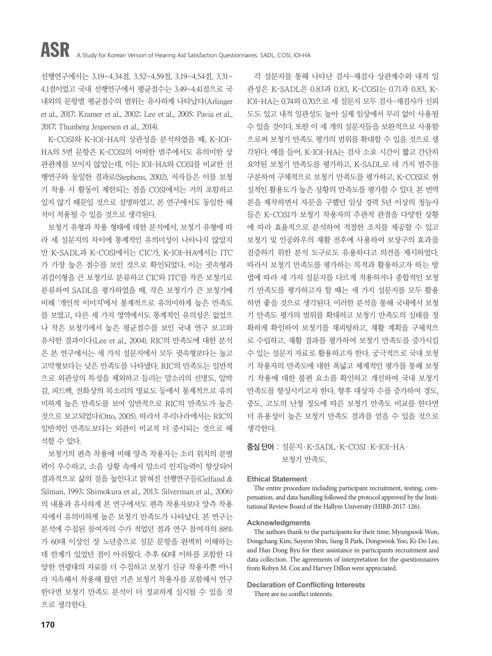선행연구에서는 3.19~4.34점, 3.52~4.59점, 3.19~4.54점, 3.31~ 4.1점이었고 국내 선행연구에서 평균점수는 3.49~4.41점으로 국 내외의 문항별 평균점수의 범위는 유사하게 나타났다(Arlinger et al., 2017; Kramer et al., 2002; Lee et al., 2005; Pavia et al., 2017; Thunberg Jespersen et al., 2014).

K-COSI와 K-IOI-HA의 상관성을 분석하였을 때, K-IOI-HA의 5번 문항은 K-COSI의 어떠한 범주에서도 유의미한 상 관관계를 보이지 않았는데, 이는 IOI-HA와 COSI를 비교한 선 행연구와 동일한 결과로(Stephens, 2002), 저자들은 이를 보청 기 착용 시 활동이 제한되는 점을 COSI에서는 거의 포함하고 있지 않기 때문일 것으로 설명하였고, 본 연구에서도 동일한 해 석이 적용될 수 있을 것으로 생각된다.

보청기 유형과 착용 형태에 대한 분석에서, 보청기 유형에 따 라 세 설문지의 차이에 통계적인 유의미성이 나타나지 않았지 만 K-SADL과 K-COSI에서는 CIC가, K-IOI-HA에서는 ITC 가 가장 높은 점수를 보인 것으로 확인되었다. 이는 귓속형과 귀걸이형을 큰 보청기로 분류하고 CIC와 ITC를 작은 보청기로 분류하여 SADL을 평가하였을 때, 작은 보청기가 큰 보청기에 비해 '개인적 이미지'에서 통계적으로 유의미하게 높은 만족도 를 보였고, 다른 세 가지 영역에서도 통계적인 유의성은 없었으 나 작은 보청기에서 높은 평균점수를 보인 국내 연구 보고와 유사한 결과이다(Lee et al., 2004). RIC의 만족도에 대한 분석 은 본 연구에서는 세 가지 설문지에서 모두 귓속형보다는 높고 고막형보다는 낮은 만족도를 나타냈다. RIC의 만족도는 일반적 으로 외관상의 특성을 제외하고 들리는 말소리의 선명도, 압박 감, 피드백, 전화상의 목소리의 명료도 등에서 통계적으로 유의 미하게 높은 만족도를 보여 일반적으로 RIC의 만족도가 높은 것으로 보고되었다(Otto, 2005). 따라서 우리나라에서는 RIC의 일반적인 만족도보다는 외관이 비교적 더 중시되는 것으로 해 석할 수 있다.

보청기의 편측 착용에 비해 양측 착용자는 소리 위치의 분별 력이 우수하고, 소음 상황 속에서 말소리 인지능력이 향상되어 결과적으로 삶의 질을 높인다고 밝혀진 선행연구들(Gelfand & Silman, 1993; Shimokura et al., 2013; Silverman et al., 2006) 의 내용과 유사하게 본 연구에서도 편측 착용자보다 양측 착용 자에서 유의미하게 높은 보청기 만족도가 나타났다. 본 연구는 분석에 수집된 참여자의 수가 적었던 점과 연구 참여자의 88% 가 60대 이상인 장 노년층으로 설문 문항을 완벽히 이해하는 데 한계가 있었던 점이 아쉬웠다. 추후 60대 이하를 포함한 다 양한 연령대의 자료를 더 수집하고 보청기 신규 착용자뿐 아니 라 지속해서 착용해 왔던 기존 보청기 착용자를 포함해서 연구 한다면 보청기 만족도 분석이 더 정교하게 실시될 수 있을 것 으로 생각한다.

각 설문지를 통해 나타난 검사-재검사 상관계수와 내적 일 관성은 K-SADL은 0.83과 0.83, K-COSI는 0.71과 0.83, K-IOI-HA는 0.74와 0.70으로 세 설문지 모두 검사-재검사가 신뢰 도도 있고 내적 일관성도 높아 실제 임상에서 무리 없이 사용될 수 있을 것이다. 또한 이 세 개의 설문지들을 보완적으로 사용함 으로써 보청기 만족도 평가의 범위를 확대할 수 있을 것으로 생 각된다. 예를 들어, K-IOI-HA는 검사 소요 시간이 짧고 간단히 요약된 보청기 만족도를 평가하고, K-SADL로 네 가지 범주를 구분하여 구체적으로 보청기 만족도를 평가하고, K-COSI로 현 실적인 활용도가 높은 상황의 만족도를 평가할 수 있다. 본 번역 본을 제작하면서 자문을 구했던 임상 경력 5년 이상의 청능사 들은 K-COSI가 보청기 착용자의 주관적 관점을 다양한 상황 에 따라 효율적으로 분석하여 적절한 조치를 제공할 수 있고 보청기 및 인공와우의 재활 전후에 사용하여 보장구의 효과를 검증하기 위한 분석 도구로도 유용하다고 의견을 제시하였다. 따라서 보청기 만족도를 평가하는 목적과 활용하고자 하는 방 법에 따라 세 가지 설문지를 다르게 적용하거나 종합적인 보청 기 만족도를 평가하고자 할 때는 세 가지 설문지를 모두 활용 하면 좋을 것으로 생각된다. 이러한 분석을 통해 국내에서 보청 기 만족도 평가의 범위를 확대하고 보청기 만족도의 실태를 정 확하게 확인하여 보청기를 재피팅하고, 재활 계획을 구체적으 로 수립하고, 재활 결과를 평가하여 보청기 만족도를 증가시킬 수 있는 설문지 자료로 활용하고자 한다. 궁극적으로 국내 보청 기 착용자의 만족도에 대한 폭넓고 체계적인 평가를 통해 보청 기 착용에 대한 불편 요소를 확인하고 개선하여 국내 보청기 만족도를 향상시키고자 한다. 향후 대상자 수를 증가하여 경도, 중도, 고도의 난청 정도에 따른 보청기 만족도 비교를 한다면 더 유용성이 높은 보청기 만족도 결과를 얻을 수 있을 것으로 생각한다.

#### 중심 단어0:0설문지·K-SADL·K-COSI·K-IOI-HA· 보청기 만족도.

#### **Ethical Statement**

The entire procedure including participant recruitment, testing, compensation, and data handling followed the protocol approved by the Institutional Review Board of the Hallym University (HIRB-2017-126).

#### **Acknowledgments**

The authors thank to the participants for their time; Myungsook Won, Dongchang Kim, Suyeon Shin, Sung Il Park, Dongwook Yoo, Ki-Do Lee, and Han Dong Ryu for their assistance in participants recruitment and data collection. The agreements of interpretation for the questionnaires from Robyn M. Cox and Harvey Dillon were appreciated.

#### **Declaration of Conflicting Interests**

There are no conflict interests.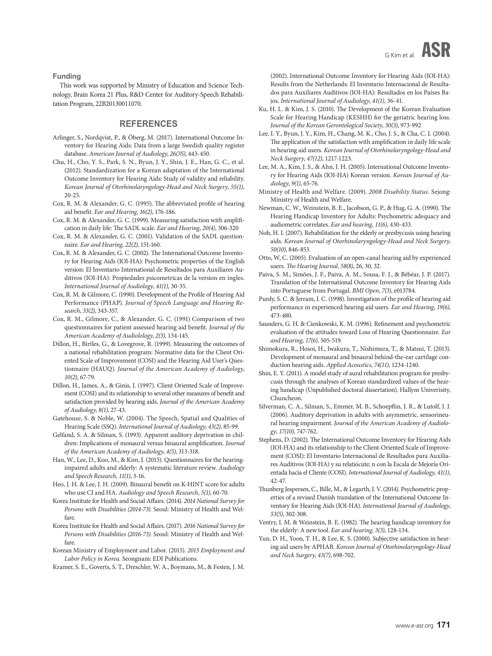**Funding** 

This work was supported by Ministry of Education and Science Technology, Brain Korea 21 Plus, R&D Center for Auditory-Speech Rehabilitation Program, 22B20130011070.

#### **REFERENCES**

- Arlinger, S., Nordqvist, P., & Öberg, M. (2017). International Outcome Inventory for Hearing Aids: Data from a large Swedish quality register database. *American Journal of Audiology*, *26(3S)*, 443-450.
- Chu, H., Cho, Y. S., Park, S. N., Byun, J. Y., Shin, J. E., Han, G. C., et al. (2012). Standardization for a Korean adaptation of the International Outcome Inventory for Hearing Aids: Study of validity and reliability. *Korean Journal of Otorhinolaryngology-Head and Neck Surgery*, *55(1)*, 20-25.
- Cox, R. M. & Alexander, G. C. (1995). The abbreviated profile of hearing aid benefit. *Ear and Hearing*, *16(2)*, 176-186.
- Cox, R. M. & Alexander, G. C. (1999). Measuring satisfaction with amplification in daily life: The SADL scale. *Ear and Hearing*, *20(4)*, 306-320
- Cox, R. M. & Alexander, G. C. (2001). Validation of the SADL questionnaire. *Ear and Hearing*, *22(2)*, 151-160.
- Cox, R. M. & Alexander, G. C. (2002). The International Outcome Inventory for Hearing Aids (IOI-HA): Psychometric properties of the English version: El Inventario International de Resultados para Auxiliares Auditivos (IOI-HA): Propiedades psicometricas de la version en ingles. *International Journal of Audiology*, *41(1)*, 30-35.
- Cox, R. M. & Gilmore, C. (1990). Development of the Profile of Hearing Aid Performance (PHAP). *Journal of Speech Language and Hearing Research*, *33(2)*, 343-357.
- Cox, R. M., Gilmore, C., & Alexander, G. C. (1991) Comparison of two questionnaires for patient assessed hearing aid benefit. *Journal of the American Academy of Audiolology*, *2(3)*, 134-145.
- Dillon, H., Birtles, G., & Lovegrove, R. (1999). Measuring the outcomes of a national rehabilitation program: Normative data for the Client Oriented Scale of Improvement (COSI) and the Hearing Aid User's Questionnaire (HAUQ). *Journal of the American Academy of Audiology*, *10(2)*, 67-79.
- Dillon, H., James, A., & Ginis, J. (1997). Client Oriented Scale of Improvement (COSI) and its relationship to several other measures of benefit and satisfaction provided by hearing aids. *Journal of the American Academy of Audiology*, *8(1)*, 27-43.
- Gatehouse, S. & Noble, W. (2004). The Speech, Spatial and Qualities of Hearing Scale (SSQ). *International Journal of Audiology*, *43(2)*, 85-99.
- Gelfand, S. A. & Silman, S. (1993). Apparent auditory deprivation in children: Implications of monaural versus binaural amplification. *Journal of the American Academy of Audiology*, *4(5)*, 313-318.
- Han, W., Lee, D., Koo, M., & Kim, J. (2015). Questionnaires for the hearingimpaired adults and elderly: A systematic literature review. *Audiology and Speech Research*, *11(1)*, 3-16.
- Heo, J. H. & Lee, J. H. (2009). Binaural benefit on K-HINT score for adults who use CI and HA. *Audiology and Speech Research*, *5(1)*, 60-70.
- Korea Institute for Health and Social Affairs. (2014). *2014 National Survey for Persons with Disabilities (2014-73).* Seoul: Ministry of Health and Welfare.
- Korea Institute for Health and Social Affairs. (2017). *2016 National Survey for Persons with Disabilities (2016-73).* Seoul: Ministry of Health and Welfare.
- Korean Ministry of Employment and Labor. (2015). *2015 Employment and Labor Policy in Korea.* Seongnam: EDI Publications.
- Kramer, S. E., Goverts, S. T., Dreschler, W. A., Boymans, M., & Festen, J. M.

(2002). International Outcome Inventory for Hearing Aids (IOI-HA): Results from the Netherlands: El Inventario Internacional de Resultados para Auxiliares Auditivos (IOI-HA): Resultados en los Países Bajos. *International Journal of Audiology*, *41(1)*, 36-41.

- Ku, H. L. & Kim, J. S. (2010). The Development of the Korean Evaluation Scale for Hearing Handicap (KESHH) for the geriatric hearing loss. *Journal of the Korean Gerontological Society*, *30(3)*, 973-992
- Lee, I. Y., Byun, J. Y., Kim, H., Chang, M. K., Cho, J. S., & Cha, C. I. (2004). The application of the satisfaction with amplification in daily life scale in hearing aid users. *Korean Journal of Otorhinolaryngology-Head and Neck Surgery*, *47(12)*, 1217-1223.
- Lee, M. A., Kim, J. S., & Ahn, J. H. (2005). International Outcome Inventory for Hearing Aids (IOI-HA) Korean version. *Korean Journal of Audiology*, *9(1)*, 65-76.
- Ministry of Health and Welfare. (2009). *2008 Disability Status.* Sejong: Ministry of Health and Welfare.
- Newman, C. W., Weinstein, B. E., Jacobson, G. P., & Hug, G. A. (1990). The Hearing Handicap Inventory for Adults: Psychometric adequacy and audiometric correlates. *Ear and hearing*, *11(6)*, 430-433.
- Noh, H. I. (2007). Rehabilitation for the elderly or presbycusis using hearing aids. *Korean Journal of Otorhinolaryngology-Head and Neck Surgery*, *50(10)*, 846-853.
- Otto, W, C. (2005). Evaluation of an open-canal hearing aid by experienced users. *The Hearing Journal*, *58(8)*, 26, 30, 32.
- Paiva, S. M., Simões, J. F., Paiva, A. M., Sousa, F. J., & Bébéar, J. P. (2017). Translation of the International Outcome Inventory for Hearing Aids into Portuguese from Portugal. *BMJ Open*, *7(3)*, e013784.
- Purdy, S. C. & Jerram, J. C. (1998). Investigation of the profile of hearing aid performance in experienced hearing aid users. *Ear and Hearing*, *19(6)*, 473-480.
- Saunders, G. H. & Cienkowski, K. M. (1996). Refinement and psychometric evaluation of the attitudes toward Loss of Hearing Questionnaire. *Ear and Hearing*, *17(6)*, 505-519.
- Shimokura, R., Hosoi, H., Iwakura, T., Nishimura, T., & Matsui, T. (2013). Development of monaural and binaural behind-the-ear cartilage conduction hearing aids. *Applied Acoustics*, *74(11)*, 1234-1240.
- Shin, E. Y. (2011). A model study of aural rehabilitation program for presbycusis through the analyses of Korean standardized values of the hearing handicap (Unpublished doctoral dissertation). Hallym Univerisity, Chuncheon.
- Silverman, C. A., Silman, S., Emmer, M. B., Schoepflin, J. R., & Lutolf, J. J. (2006). Auditory deprivation in adults with asymmetric, sensorineural hearing impairment. *Journal of the American Academy of Audiology*, *17(10)*, 747-762.
- Stephens, D. (2002). The International Outcome Inventory for Hearing Aids (IOI-HA) and its relationship to the Client-Oriented Scale of Improvement (COSI): El Inventario Internacional de Resultados para Auxiliares Auditivos (IOI-HA) y su relatiócute; n con la Escala de Mejoría Orientada hacia el Cliente (COSI). *International Journal of Audiology*, *41(1)*, 42-47.
- Thunberg Jespersen, C., Bille, M., & Legarth, J. V. (2014). Psychometric properties of a revised Danish translation of the International Outcome Inventory for Hearing Aids (IOI-HA). *International Journal of Audiology*, *53(5)*, 302-308.
- Ventry, I. M. & Weinstein, B. E. (1982). The hearing handicap inventory for the elderly: A new tool. *Ear and hearing*, *3(3)*, 128-134.
- Yun, D. H., Yoon, T. H., & Lee, K. S. (2000). Subjective satisfaction in hearing aid users by APHAB. *Korean Journal of Otorhinolaryngology-Head and Neck Surgery*, *43(7)*, 698-702.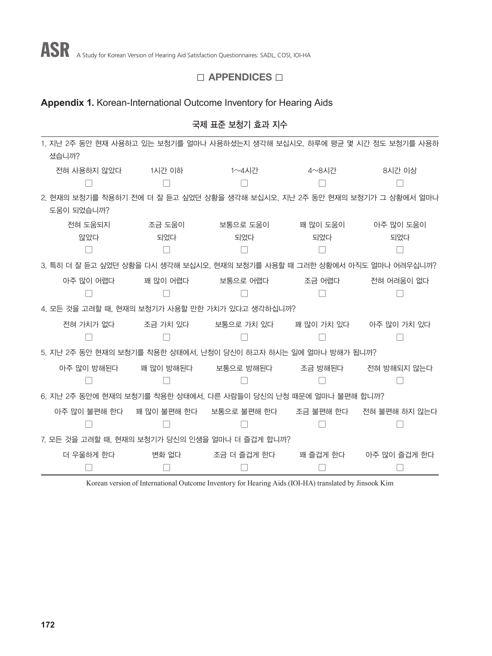# $\square$  APPENDICES  $\square$

# **Appendix 1.** Korean-International Outcome Inventory for Hearing Aids

|                                                                           |           | 국제 표준 보청기 효과 지수    |            |                                                              |
|---------------------------------------------------------------------------|-----------|--------------------|------------|--------------------------------------------------------------|
| 1. 지난 2주 동안 현재 사용하고 있는 보청기를 얼마나 사용하셨는지 생각해 보십시오. 하루에 평균 몇 시간 정도 보청기를 사용하  |           |                    |            |                                                              |
| 셨습니까?                                                                     |           |                    |            |                                                              |
| 전혀 사용하지 않았다                                                               | 1시간 이하    | 1 $\sim$ 4시간       | 4~8시간      | 8시간 이상                                                       |
|                                                                           |           |                    |            |                                                              |
| 2. 현재의 보청기를 착용하기 전에 더 잘 듣고 싶었던 상황을 생각해 보십시오. 지난 2주 동안 현재의 보청기가 그 상황에서 얼마나 |           |                    |            |                                                              |
| 도움이 되었습니까?                                                                |           |                    |            |                                                              |
| 전혀 도움되지                                                                   |           | 조금 도움이 가는 보통으로 도움이 | 꽤 많이 도움이   | 아주 많이 도움이                                                    |
| 않았다                                                                       | 되었다       | 되었다                | 되었다        | 되었다                                                          |
|                                                                           |           |                    |            |                                                              |
| 3. 특히 더 잘 듣고 싶었던 상황을 다시 생각해 보십시오. 현재의 보청기를 사용할 때 그러한 상황에서 아직도 얼마나 어려우십니까? |           |                    |            |                                                              |
| 아주 많이 어렵다                                                                 | 꽤 많이 어렵다  | 보통으로 어렵다 전조금 어렵다   |            | 전혀 어려움이 없다                                                   |
|                                                                           |           |                    |            |                                                              |
| 4. 모든 것을 고려할 때, 현재의 보청기가 사용할 만한 가치가 있다고 생각하십니까?                           |           |                    |            |                                                              |
| 전혀 가치가 없다.                                                                | 조금 가치 있다  | 보통으로 가치 있다         | 꽤 많이 가치 있다 | 아주 많이 가치 있다                                                  |
|                                                                           |           |                    |            |                                                              |
| 5. 지난 2주 동안 현재의 보청기를 착용한 상태에서, 난청이 당신이 하고자 하시는 일에 얼마나 방해가 됩니까?            |           |                    |            |                                                              |
| 아주 많이 방해된다                                                                | 꽤 많이 방해된다 | 보통으로 방해된다 조금 방해된다  |            | 전혀 방해되지 않는다                                                  |
|                                                                           |           |                    |            |                                                              |
| 6. 지난 2주 동안에 현재의 보청기를 착용한 상태에서, 다른 사람들이 당신의 난청 때문에 얼마나 불편해 합니까?           |           |                    |            |                                                              |
|                                                                           |           |                    |            | 아주 많이 불편해 한다 때 많이 불편해 한다 보통으로 불편해 한다 조금 불편해 한다 전혀 불편해 하지 않는다 |
|                                                                           |           |                    |            |                                                              |
| 7. 모든 것을 고려할 때, 현재의 보청기가 당신의 인생을 얼마나 더 즐겁게 합니까?                           |           |                    |            |                                                              |
| 더 우울하게 한다                                                                 | 변화 없다     | 조금 더 즐겁게 한다        | 꽤 즐겁게 한다   | 아주 많이 즐겁게 한다                                                 |
|                                                                           |           |                    |            |                                                              |

Korean version of International Outcome Inventory for Hearing Aids (IOI-HA) translated by Jinsook Kim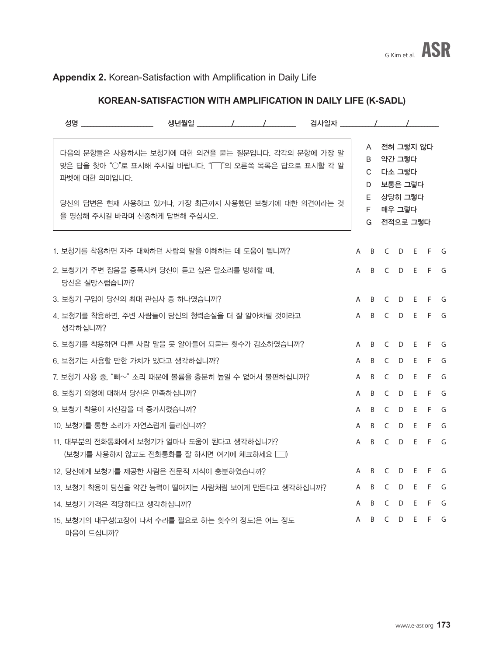# **Appendix 2.** Korean-Satisfaction with Amplification in Daily Life

# **KOREAN-SATISFACTION WITH AMPLIFICATION IN DAILY LIFE (K-SADL)**

|           | 성명 어머니는 어머니는 어머니는 어머니는 것 같아.                                                                                                                                                                                    |  |              |                                    |                    |                                                     |     |       |     |
|-----------|-----------------------------------------------------------------------------------------------------------------------------------------------------------------------------------------------------------------|--|--------------|------------------------------------|--------------------|-----------------------------------------------------|-----|-------|-----|
|           | 다음의 문항들은 사용하시는 보청기에 대한 의견을 묻는 질문입니다. 각각의 문항에 가장 알<br>맞은 답을 찾아 "○"로 표시해 주시길 바랍니다. "□"의 오른쪽 목록은 답으로 표시할 각 알<br>파벳에 대한 의미입니다.<br>당신의 답변은 현재 사용하고 있거나. 가장 최근까지 사용했던 보청기에 대한 의견이라는 것<br>을 명심해 주시길 바라며 신중하게 답변해 주십시오. |  |              | A<br>B<br>C.<br>D<br>E.<br>F.<br>G | 다소 그렇다<br>전적으로 그렇다 | 전혀 그렇지 않다<br>약간 그렇다<br>보통은 그렇다<br>상당히 그렇다<br>매우 그렇다 |     |       |     |
|           | 1. 보청기를 착용하면 자주 대화하던 사람의 말을 이해하는 데 도움이 됩니까?                                                                                                                                                                     |  | A            | $\overline{B}$                     |                    | C D E F G                                           |     |       |     |
|           | 2. 보청기가 주변 잡음을 증폭시켜 당신이 듣고 싶은 말소리를 방해할 때.<br>당신은 실망스럽습니까?                                                                                                                                                       |  | A            |                                    | B C D E F G        |                                                     |     |       |     |
|           | 3. 보청기 구입이 당시의 최대 관심사 중 하나였습니까?                                                                                                                                                                                 |  | A            |                                    | B C D              |                                                     |     | E F G |     |
| 생각하십니까?   | 4. 보청기를 착용하면, 주변 사람들이 당신의 청력손실을 더 잘 알아차릴 것이라고                                                                                                                                                                   |  | $\mathsf{A}$ |                                    | B C D E F G        |                                                     |     |       |     |
|           | 5. 보청기를 착용하면 다른 사람 말을 못 알아들어 되묻는 횟수가 감소하였습니까?                                                                                                                                                                   |  | A            |                                    | B C D              |                                                     |     | E F G |     |
|           | 6. 보청기는 사용할 만한 가치가 있다고 생각하십니까?                                                                                                                                                                                  |  | A            |                                    | B C D              |                                                     | E   |       | F G |
|           | 7. 보청기 사용 중. "삐~" 소리 때문에 볼륨을 충분히 높일 수 없어서 불편하십니까?                                                                                                                                                               |  | A            | $\overline{B}$                     | $\mathsf{C}$       | D                                                   | E   | F.    | G   |
|           | 8. 보청기 외형에 대해서 당신은 만족하십니까?                                                                                                                                                                                      |  | A            | $\overline{B}$                     | $\mathsf{C}$       | D                                                   | E   | F.    | G   |
|           | 9. 보청기 착용이 자신감을 더 증가시켰습니까?                                                                                                                                                                                      |  | A            | B                                  | C                  | D                                                   | E   | F     | G   |
|           | 10. 보청기를 통한 소리가 자연스럽게 들리십니까?                                                                                                                                                                                    |  | A            | B                                  | C                  | D                                                   | E   | F.    | G   |
|           | 11. 대부분의 전화통화에서 보청기가 얼마나 도움이 된다고 생각하십니가?<br>(보청기를 사용하지 않고도 전화통화를 잘 하시면 여기에 체크하세요  )                                                                                                                             |  | A            | B                                  | C                  | D                                                   | - E | F.    | G   |
|           | 12. 당신에게 보청기를 제공한 사람은 전문적 지식이 충분하였습니까?                                                                                                                                                                          |  | A            | B.                                 | C                  | D                                                   | E.  | F.    | G   |
|           | 13. 보청기 착용이 당신을 약간 능력이 떨어지는 사람처럼 보이게 만든다고 생각하십니까?                                                                                                                                                               |  | A            | B                                  | C                  | D                                                   | E   | F     | G   |
|           | 14. 보청기 가격은 적당하다고 생각하십니까?                                                                                                                                                                                       |  | A            | B                                  | C                  | D                                                   | E   | F     | G   |
| 마음이 드십니까? | 15. 보청기의 내구성(고장이 나서 수리를 필요로 하는 횟수의 정도)은 어느 정도                                                                                                                                                                   |  | A            | B                                  | C                  | D                                                   | E   | F.    | G   |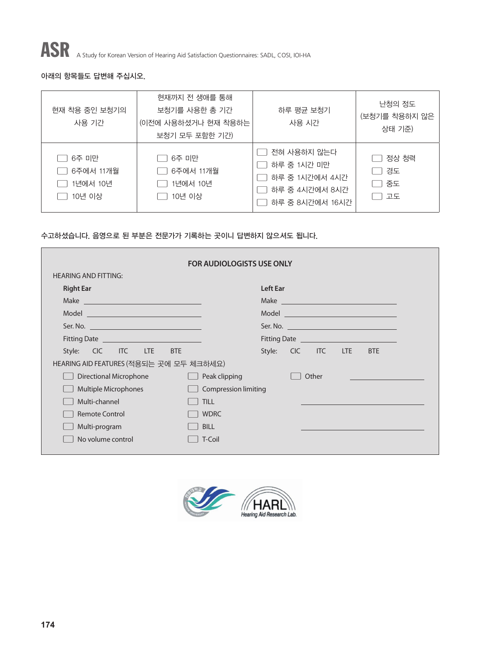

ASR A Study for Korean Version of Hearing Aid Satisfaction Questionnaires: SADL, COSI, IOI-HA

#### 아래의 항목들도 답변해 주십시오.

| 현재 착용 중인 보청기의<br>사용 기간                   | 현재까지 전 생애를 통해<br>보청기를 사용한 총 기간<br>(이전에 사용하셨거나 현재 착용하는<br>보청기 모두 포함한 기간) | 하루 평균 보청기<br>사용 시간                                                                | 난청의 정도<br>(보청기를 착용하지 않은<br>상태 기준) |
|------------------------------------------|-------------------------------------------------------------------------|-----------------------------------------------------------------------------------|-----------------------------------|
| 6주 미만<br>6주에서 11개월<br>1년에서 10년<br>10년 이상 | 6주 미만<br>6주에서 11개월<br>1년에서 10년<br>10년 이상                                | 전혀 사용하지 않는다<br>하루 중 1시간 미만<br>하루 중 1시간에서 4시간<br>하루 중 4시간에서 8시간<br>하루 중 8시간에서 16시간 | 정상 청력<br>경도<br>중도<br>고도           |

#### 수고하셨습니다. 음영으로 된 부분은 전문가가 기록하는 곳이니 답변하지 않으셔도 됩니다.

|                                                | <b>FOR AUDIOLOGISTS USE ONLY</b> |                                                 |                    |  |  |                                                               |
|------------------------------------------------|----------------------------------|-------------------------------------------------|--------------------|--|--|---------------------------------------------------------------|
| <b>HEARING AND FITTING:</b>                    |                                  |                                                 |                    |  |  |                                                               |
| <b>Right Ear</b>                               |                                  | Left Ear                                        |                    |  |  |                                                               |
|                                                |                                  |                                                 |                    |  |  | Make <b>Make Make Make Make Make Make Make Make Make Make</b> |
|                                                |                                  |                                                 |                    |  |  | Model ___________________________________                     |
|                                                |                                  |                                                 |                    |  |  |                                                               |
| Fitting Date <u>__________________________</u> |                                  | Fitting Date <u>___________________________</u> |                    |  |  |                                                               |
| Style: CIC ITC LTE BTE                         |                                  |                                                 | Style: CIC ITC LTE |  |  | <b>BTE</b>                                                    |
| HEARING AID FEATURES (적용되는 곳에 모두 체크하세요)        |                                  |                                                 |                    |  |  |                                                               |
| Directional Microphone                         | Peak clipping                    |                                                 | Other              |  |  |                                                               |
| <b>Multiple Microphones</b>                    | <b>Compression limiting</b>      |                                                 |                    |  |  |                                                               |
| Multi-channel                                  | <b>TILL</b>                      |                                                 |                    |  |  |                                                               |
| <b>Remote Control</b>                          | <b>WDRC</b>                      |                                                 |                    |  |  |                                                               |
| Multi-program                                  | <b>BILL</b>                      |                                                 |                    |  |  |                                                               |
| No volume control                              | T-Coil                           |                                                 |                    |  |  |                                                               |